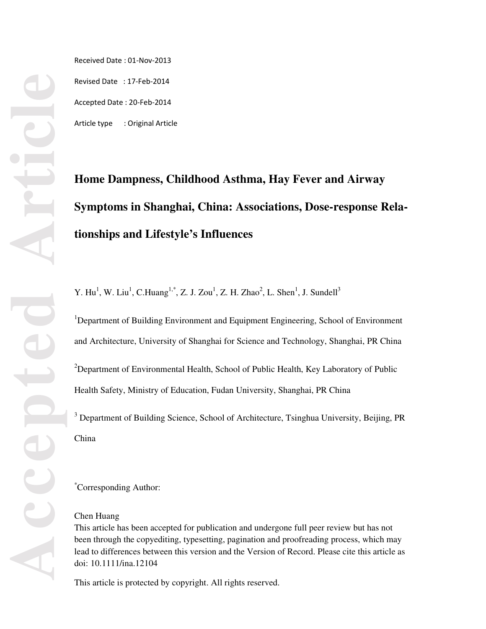Received Date : 01-Nov-2013 Revised Date : 17-Feb-2014 Accepted Date : 20-Feb-2014

Article type : Original Article

# **Home Dampness, Childhood Asthma, Hay Fever and Airway Symptoms in Shanghai, China: Associations, Dose-response Relationships and Lifestyle's Influences**

Y. Hu<sup>1</sup>, W. Liu<sup>1</sup>, C.Huang<sup>1,\*</sup>, Z. J. Zou<sup>1</sup>, Z. H. Zhao<sup>2</sup>, L. Shen<sup>1</sup>, J. Sundell<sup>3</sup>

<sup>1</sup>Department of Building Environment and Equipment Engineering, School of Environment and Architecture, University of Shanghai for Science and Technology, Shanghai, PR China  $2$ Department of Environmental Health, School of Public Health, Key Laboratory of Public Health Safety, Ministry of Education, Fudan University, Shanghai, PR China

<sup>3</sup> Department of Building Science, School of Architecture, Tsinghua University, Beijing, PR China

\* Corresponding Author:

## Chen Huang

This article has been accepted for publication and undergone full peer review but has not been through the copyediting, typesetting, pagination and proofreading process, which may lead to differences between this version and the Version of Record. Please cite this article as doi: 10.1111/ina.12104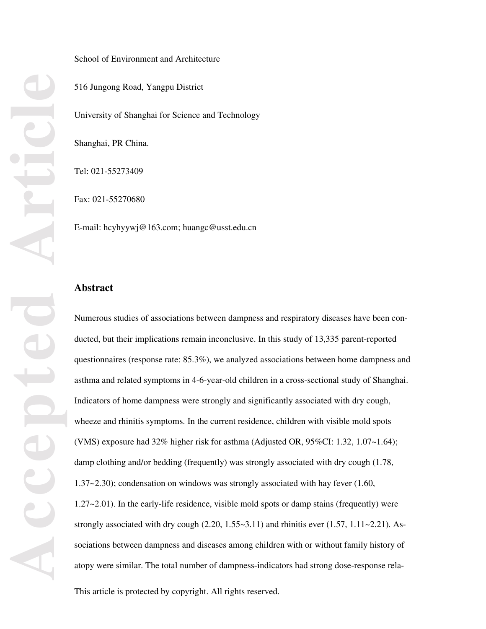#### School of Environment and Architecture

516 Jungong Road, Yangpu District

University of Shanghai for Science and Technology

Shanghai, PR China.

Tel: 021-55273409

Fax: 021-55270680

E-mail: hcyhyywj@163.com; huangc@usst.edu.cn

# **Abstract**

Numerous studies of associations between dampness and respiratory diseases have been conducted, but their implications remain inconclusive. In this study of 13,335 parent-reported questionnaires (response rate: 85.3%), we analyzed associations between home dampness and asthma and related symptoms in 4-6-year-old children in a cross-sectional study of Shanghai. Indicators of home dampness were strongly and significantly associated with dry cough, wheeze and rhinitis symptoms. In the current residence, children with visible mold spots (VMS) exposure had 32% higher risk for asthma (Adjusted OR, 95%CI: 1.32, 1.07~1.64); damp clothing and/or bedding (frequently) was strongly associated with dry cough (1.78, 1.37~2.30); condensation on windows was strongly associated with hay fever (1.60, 1.27~2.01). In the early-life residence, visible mold spots or damp stains (frequently) were strongly associated with dry cough  $(2.20, 1.55 \times 3.11)$  and rhinitis ever  $(1.57, 1.11 \times 2.21)$ . Associations between dampness and diseases among children with or without family history of atopy were similar. The total number of dampness-indicators had strong dose-response rela-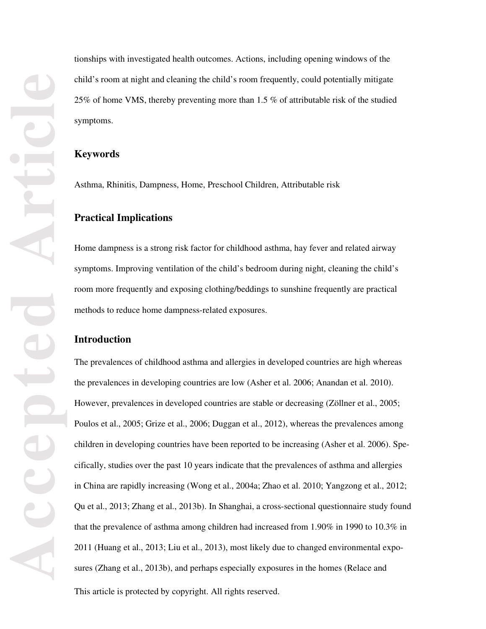tionships with investigated health outcomes. Actions, including opening windows of the child's room at night and cleaning the child's room frequently, could potentially mitigate 25% of home VMS, thereby preventing more than 1.5 % of attributable risk of the studied symptoms.

## **Keywords**

Asthma, Rhinitis, Dampness, Home, Preschool Children, Attributable risk

# **Practical Implications**

Home dampness is a strong risk factor for childhood asthma, hay fever and related airway symptoms. Improving ventilation of the child's bedroom during night, cleaning the child's room more frequently and exposing clothing/beddings to sunshine frequently are practical methods to reduce home dampness-related exposures.

# **Introduction**

The prevalences of childhood asthma and allergies in developed countries are high whereas the prevalences in developing countries are low (Asher et al. 2006; Anandan et al. 2010). However, prevalences in developed countries are stable or decreasing (Zöllner et al., 2005; Poulos et al., 2005; Grize et al., 2006; Duggan et al., 2012), whereas the prevalences among children in developing countries have been reported to be increasing (Asher et al. 2006). Specifically, studies over the past 10 years indicate that the prevalences of asthma and allergies in China are rapidly increasing (Wong et al., 2004a; Zhao et al. 2010; Yangzong et al., 2012; Qu et al., 2013; Zhang et al., 2013b). In Shanghai, a cross-sectional questionnaire study found that the prevalence of asthma among children had increased from 1.90% in 1990 to 10.3% in 2011 (Huang et al., 2013; Liu et al., 2013), most likely due to changed environmental exposures (Zhang et al., 2013b), and perhaps especially exposures in the homes (Relace and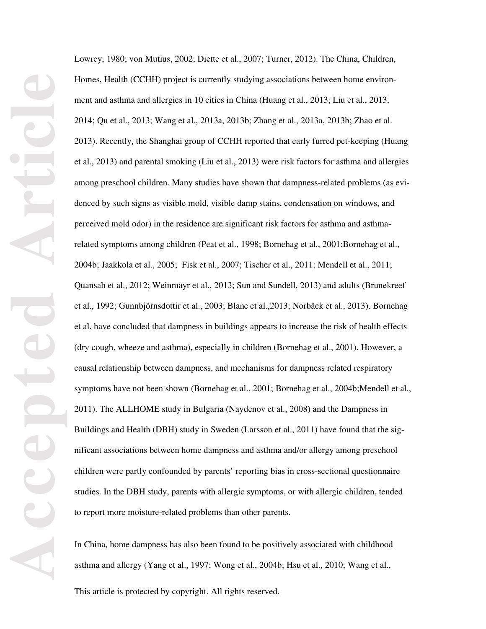Lowrey, 1980; von Mutius, 2002; Diette et al., 2007; Turner, 2012). The China, Children, Homes, Health (CCHH) project is currently studying associations between home environment and asthma and allergies in 10 cities in China (Huang et al., 2013; Liu et al., 2013, 2014; Qu et al., 2013; Wang et al., 2013a, 2013b; Zhang et al., 2013a, 2013b; Zhao et al. 2013). Recently, the Shanghai group of CCHH reported that early furred pet-keeping (Huang et al., 2013) and parental smoking (Liu et al., 2013) were risk factors for asthma and allergies among preschool children. Many studies have shown that dampness-related problems (as evidenced by such signs as visible mold, visible damp stains, condensation on windows, and perceived mold odor) in the residence are significant risk factors for asthma and asthmarelated symptoms among children (Peat et al., 1998; Bornehag et al., 2001; Bornehag et al., 2004b; Jaakkola et al., 2005; Fisk et al., 2007; Tischer et al., 2011; Mendell et al., 2011; Quansah et al., 2012; Weinmayr et al., 2013; Sun and Sundell, 2013) and adults (Brunekreef et al., 1992; Gunnbjörnsdottir et al., 2003; Blanc et al.,2013; Norbäck et al., 2013). Bornehag et al. have concluded that dampness in buildings appears to increase the risk of health effects (dry cough, wheeze and asthma), especially in children (Bornehag et al., 2001). However, a causal relationship between dampness, and mechanisms for dampness related respiratory symptoms have not been shown (Bornehag et al., 2001; Bornehag et al., 2004b;Mendell et al., 2011). The ALLHOME study in Bulgaria (Naydenov et al., 2008) and the Dampness in Buildings and Health (DBH) study in Sweden (Larsson et al., 2011) have found that the significant associations between home dampness and asthma and/or allergy among preschool children were partly confounded by parents' reporting bias in cross-sectional questionnaire studies. In the DBH study, parents with allergic symptoms, or with allergic children, tended to report more moisture-related problems than other parents.

In China, home dampness has also been found to be positively associated with childhood asthma and allergy (Yang et al., 1997; Wong et al., 2004b; Hsu et al., 2010; Wang et al.,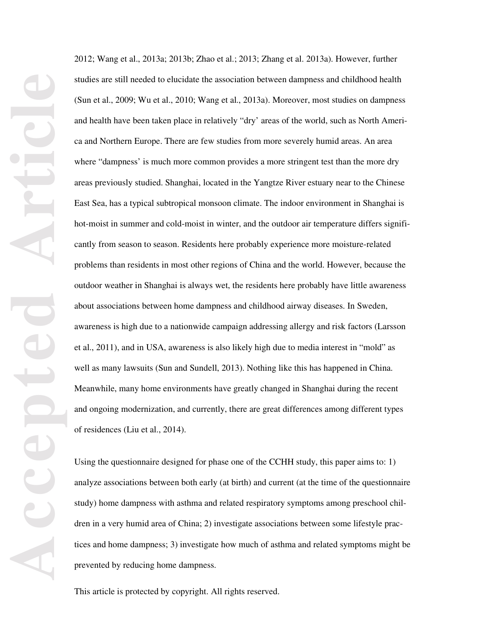2012; Wang et al., 2013a; 2013b; Zhao et al.; 2013; Zhang et al. 2013a). However, further studies are still needed to elucidate the association between dampness and childhood health (Sun et al., 2009; Wu et al., 2010; Wang et al., 2013a). Moreover, most studies on dampness and health have been taken place in relatively "dry' areas of the world, such as North America and Northern Europe. There are few studies from more severely humid areas. An area where "dampness' is much more common provides a more stringent test than the more dry areas previously studied. Shanghai, located in the Yangtze River estuary near to the Chinese East Sea, has a typical subtropical monsoon climate. The indoor environment in Shanghai is hot-moist in summer and cold-moist in winter, and the outdoor air temperature differs significantly from season to season. Residents here probably experience more moisture-related problems than residents in most other regions of China and the world. However, because the outdoor weather in Shanghai is always wet, the residents here probably have little awareness about associations between home dampness and childhood airway diseases. In Sweden, awareness is high due to a nationwide campaign addressing allergy and risk factors (Larsson et al., 2011), and in USA, awareness is also likely high due to media interest in "mold" as well as many lawsuits (Sun and Sundell, 2013). Nothing like this has happened in China. Meanwhile, many home environments have greatly changed in Shanghai during the recent and ongoing modernization, and currently, there are great differences among different types of residences (Liu et al., 2014).

Using the questionnaire designed for phase one of the CCHH study, this paper aims to: 1) analyze associations between both early (at birth) and current (at the time of the questionnaire study) home dampness with asthma and related respiratory symptoms among preschool children in a very humid area of China; 2) investigate associations between some lifestyle practices and home dampness; 3) investigate how much of asthma and related symptoms might be prevented by reducing home dampness.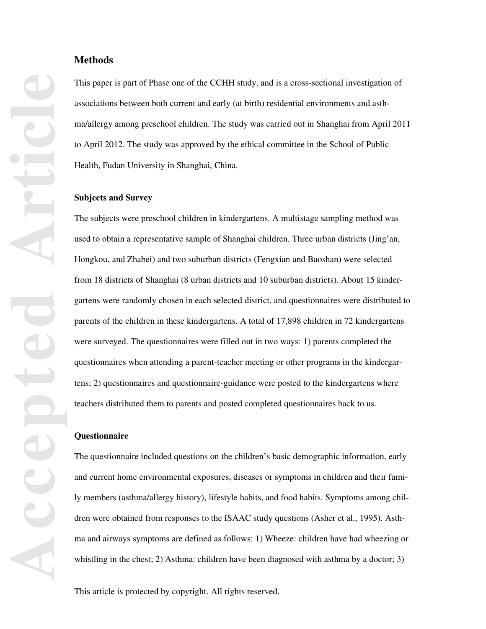# **Methods**

This paper is part of Phase one of the CCHH study, and is a cross-sectional investigation of associations between both current and early (at birth) residential environments and asthma/allergy among preschool children. The study was carried out in Shanghai from April 2011 to April 2012. The study was approved by the ethical committee in the School of Public Health, Fudan University in Shanghai, China.

## **Subjects and Survey**

The subjects were preschool children in kindergartens. A multistage sampling method was used to obtain a representative sample of Shanghai children. Three urban districts (Jing'an, Hongkou, and Zhabei) and two suburban districts (Fengxian and Baoshan) were selected from 18 districts of Shanghai (8 urban districts and 10 suburban districts). About 15 kindergartens were randomly chosen in each selected district, and questionnaires were distributed to parents of the children in these kindergartens. A total of 17,898 children in 72 kindergartens were surveyed. The questionnaires were filled out in two ways: 1) parents completed the questionnaires when attending a parent-teacher meeting or other programs in the kindergartens; 2) questionnaires and questionnaire-guidance were posted to the kindergartens where teachers distributed them to parents and posted completed questionnaires back to us.

#### **Questionnaire**

The questionnaire included questions on the children's basic demographic information, early and current home environmental exposures, diseases or symptoms in children and their family members (asthma/allergy history), lifestyle habits, and food habits. Symptoms among children were obtained from responses to the ISAAC study questions (Asher et al., 1995). Asthma and airways symptoms are defined as follows: 1) Wheeze: children have had wheezing or whistling in the chest; 2) Asthma: children have been diagnosed with asthma by a doctor; 3)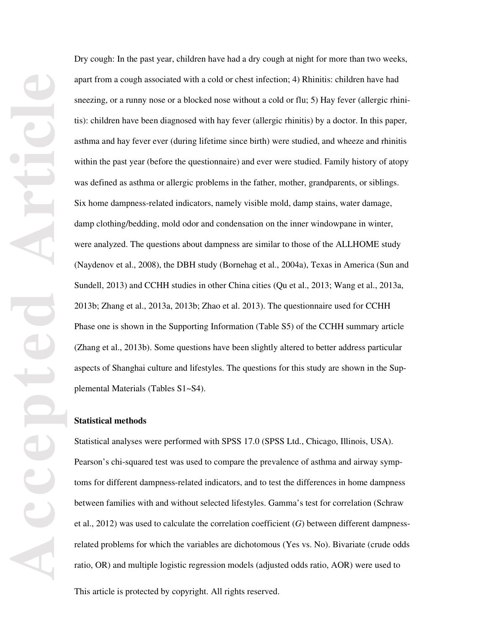Dry cough: In the past year, children have had a dry cough at night for more than two weeks, apart from a cough associated with a cold or chest infection; 4) Rhinitis: children have had sneezing, or a runny nose or a blocked nose without a cold or flu; 5) Hay fever (allergic rhinitis): children have been diagnosed with hay fever (allergic rhinitis) by a doctor. In this paper, asthma and hay fever ever (during lifetime since birth) were studied, and wheeze and rhinitis within the past year (before the questionnaire) and ever were studied. Family history of atopy was defined as asthma or allergic problems in the father, mother, grandparents, or siblings. Six home dampness-related indicators, namely visible mold, damp stains, water damage, damp clothing/bedding, mold odor and condensation on the inner windowpane in winter, were analyzed. The questions about dampness are similar to those of the ALLHOME study (Naydenov et al., 2008), the DBH study (Bornehag et al., 2004a), Texas in America (Sun and Sundell, 2013) and CCHH studies in other China cities (Qu et al., 2013; Wang et al., 2013a, 2013b; Zhang et al., 2013a, 2013b; Zhao et al. 2013). The questionnaire used for CCHH Phase one is shown in the Supporting Information (Table S5) of the CCHH summary article (Zhang et al., 2013b). Some questions have been slightly altered to better address particular aspects of Shanghai culture and lifestyles. The questions for this study are shown in the Supplemental Materials (Tables S1~S4).

## **Statistical methods**

Statistical analyses were performed with SPSS 17.0 (SPSS Ltd., Chicago, Illinois, USA). Pearson's chi-squared test was used to compare the prevalence of asthma and airway symptoms for different dampness-related indicators, and to test the differences in home dampness between families with and without selected lifestyles. Gamma's test for correlation (Schraw et al., 2012) was used to calculate the correlation coefficient (*G*) between different dampnessrelated problems for which the variables are dichotomous (Yes vs. No). Bivariate (crude odds ratio, OR) and multiple logistic regression models (adjusted odds ratio, AOR) were used to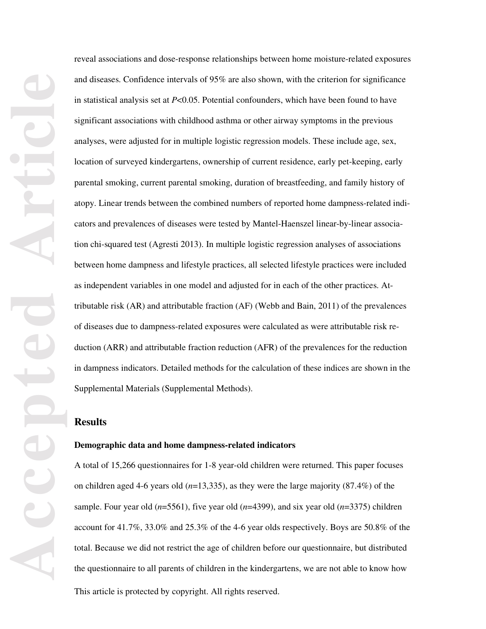reveal associations and dose-response relationships between home moisture-related exposures and diseases. Confidence intervals of 95% are also shown, with the criterion for significance in statistical analysis set at *P*<0.05. Potential confounders, which have been found to have significant associations with childhood asthma or other airway symptoms in the previous analyses, were adjusted for in multiple logistic regression models. These include age, sex, location of surveyed kindergartens, ownership of current residence, early pet-keeping, early parental smoking, current parental smoking, duration of breastfeeding, and family history of atopy. Linear trends between the combined numbers of reported home dampness-related indicators and prevalences of diseases were tested by Mantel-Haenszel linear-by-linear association chi-squared test (Agresti 2013). In multiple logistic regression analyses of associations between home dampness and lifestyle practices, all selected lifestyle practices were included as independent variables in one model and adjusted for in each of the other practices. Attributable risk (AR) and attributable fraction (AF) (Webb and Bain, 2011) of the prevalences of diseases due to dampness-related exposures were calculated as were attributable risk reduction (ARR) and attributable fraction reduction (AFR) of the prevalences for the reduction in dampness indicators. Detailed methods for the calculation of these indices are shown in the Supplemental Materials (Supplemental Methods).

## **Results**

#### **Demographic data and home dampness-related indicators**

This article is protected by copyright. All rights reserved. A total of 15,266 questionnaires for 1-8 year-old children were returned. This paper focuses on children aged 4-6 years old (*n*=13,335), as they were the large majority (87.4%) of the sample. Four year old (*n*=5561), five year old (*n*=4399), and six year old (*n*=3375) children account for 41.7%, 33.0% and 25.3% of the 4-6 year olds respectively. Boys are 50.8% of the total. Because we did not restrict the age of children before our questionnaire, but distributed the questionnaire to all parents of children in the kindergartens, we are not able to know how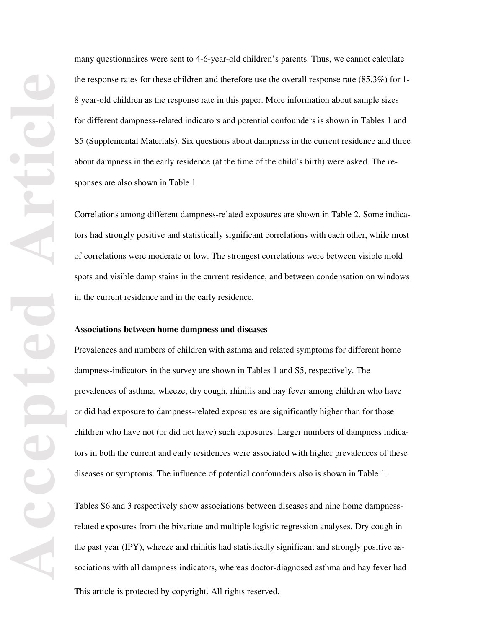many questionnaires were sent to 4-6-year-old children's parents. Thus, we cannot calculate the response rates for these children and therefore use the overall response rate (85.3%) for 1- 8 year-old children as the response rate in this paper. More information about sample sizes for different dampness-related indicators and potential confounders is shown in Tables 1 and S5 (Supplemental Materials). Six questions about dampness in the current residence and three about dampness in the early residence (at the time of the child's birth) were asked. The responses are also shown in Table 1.

Correlations among different dampness-related exposures are shown in Table 2. Some indicators had strongly positive and statistically significant correlations with each other, while most of correlations were moderate or low. The strongest correlations were between visible mold spots and visible damp stains in the current residence, and between condensation on windows in the current residence and in the early residence.

#### **Associations between home dampness and diseases**

Prevalences and numbers of children with asthma and related symptoms for different home dampness-indicators in the survey are shown in Tables 1 and S5, respectively. The prevalences of asthma, wheeze, dry cough, rhinitis and hay fever among children who have or did had exposure to dampness-related exposures are significantly higher than for those children who have not (or did not have) such exposures. Larger numbers of dampness indicators in both the current and early residences were associated with higher prevalences of these diseases or symptoms. The influence of potential confounders also is shown in Table 1.

This article is protected by copyright. All rights reserved. Tables S6 and 3 respectively show associations between diseases and nine home dampnessrelated exposures from the bivariate and multiple logistic regression analyses. Dry cough in the past year (IPY), wheeze and rhinitis had statistically significant and strongly positive associations with all dampness indicators, whereas doctor-diagnosed asthma and hay fever had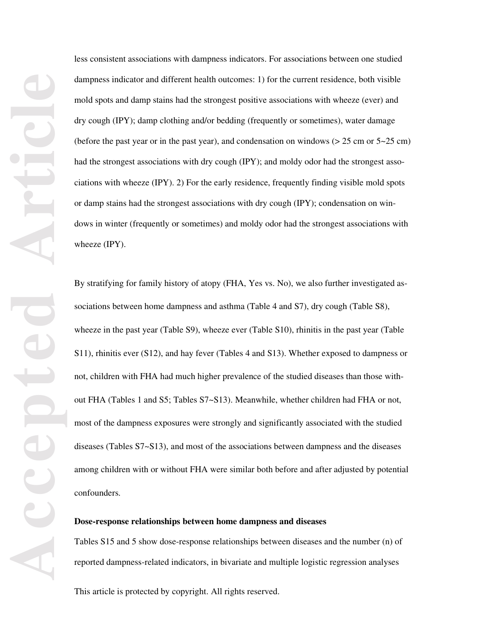less consistent associations with dampness indicators. For associations between one studied dampness indicator and different health outcomes: 1) for the current residence, both visible mold spots and damp stains had the strongest positive associations with wheeze (ever) and dry cough (IPY); damp clothing and/or bedding (frequently or sometimes), water damage (before the past year or in the past year), and condensation on windows  $(> 25 \text{ cm or } 5 \sim 25 \text{ cm})$ had the strongest associations with dry cough (IPY); and moldy odor had the strongest associations with wheeze (IPY). 2) For the early residence, frequently finding visible mold spots or damp stains had the strongest associations with dry cough (IPY); condensation on windows in winter (frequently or sometimes) and moldy odor had the strongest associations with wheeze (IPY).

By stratifying for family history of atopy (FHA, Yes vs. No), we also further investigated associations between home dampness and asthma (Table 4 and S7), dry cough (Table S8), wheeze in the past year (Table S9), wheeze ever (Table S10), rhinitis in the past year (Table S11), rhinitis ever (S12), and hay fever (Tables 4 and S13). Whether exposed to dampness or not, children with FHA had much higher prevalence of the studied diseases than those without FHA (Tables 1 and S5; Tables S7~S13). Meanwhile, whether children had FHA or not, most of the dampness exposures were strongly and significantly associated with the studied diseases (Tables S7~S13), and most of the associations between dampness and the diseases among children with or without FHA were similar both before and after adjusted by potential confounders.

## **Dose-response relationships between home dampness and diseases**

Tables S15 and 5 show dose-response relationships between diseases and the number (n) of reported dampness-related indicators, in bivariate and multiple logistic regression analyses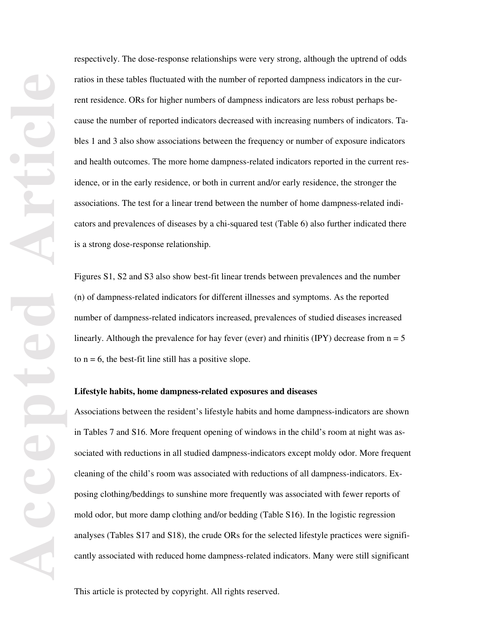respectively. The dose-response relationships were very strong, although the uptrend of odds ratios in these tables fluctuated with the number of reported dampness indicators in the current residence. ORs for higher numbers of dampness indicators are less robust perhaps because the number of reported indicators decreased with increasing numbers of indicators. Tables 1 and 3 also show associations between the frequency or number of exposure indicators and health outcomes. The more home dampness-related indicators reported in the current residence, or in the early residence, or both in current and/or early residence, the stronger the associations. The test for a linear trend between the number of home dampness-related indicators and prevalences of diseases by a chi-squared test (Table 6) also further indicated there is a strong dose-response relationship.

Figures S1, S2 and S3 also show best-fit linear trends between prevalences and the number (n) of dampness-related indicators for different illnesses and symptoms. As the reported number of dampness-related indicators increased, prevalences of studied diseases increased linearly. Although the prevalence for hay fever (ever) and rhinitis (IPY) decrease from  $n = 5$ to  $n = 6$ , the best-fit line still has a positive slope.

#### **Lifestyle habits, home dampness-related exposures and diseases**

Associations between the resident's lifestyle habits and home dampness-indicators are shown in Tables 7 and S16. More frequent opening of windows in the child's room at night was associated with reductions in all studied dampness-indicators except moldy odor. More frequent cleaning of the child's room was associated with reductions of all dampness-indicators. Exposing clothing/beddings to sunshine more frequently was associated with fewer reports of mold odor, but more damp clothing and/or bedding (Table S16). In the logistic regression analyses (Tables S17 and S18), the crude ORs for the selected lifestyle practices were significantly associated with reduced home dampness-related indicators. Many were still significant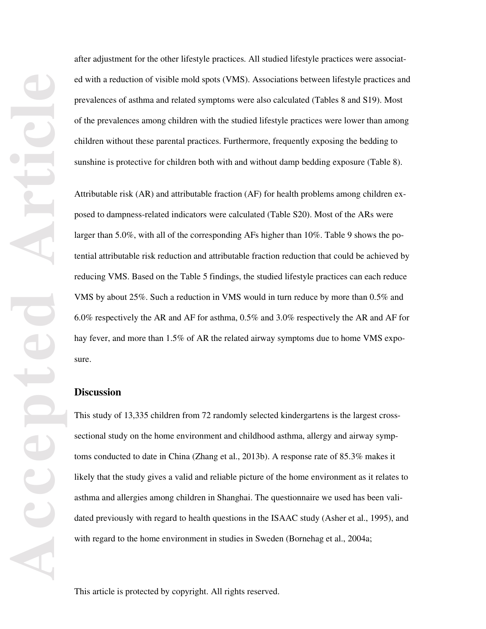after adjustment for the other lifestyle practices. All studied lifestyle practices were associated with a reduction of visible mold spots (VMS). Associations between lifestyle practices and prevalences of asthma and related symptoms were also calculated (Tables 8 and S19). Most of the prevalences among children with the studied lifestyle practices were lower than among children without these parental practices. Furthermore, frequently exposing the bedding to sunshine is protective for children both with and without damp bedding exposure (Table 8).

Attributable risk (AR) and attributable fraction (AF) for health problems among children exposed to dampness-related indicators were calculated (Table S20). Most of the ARs were larger than 5.0%, with all of the corresponding AFs higher than 10%. Table 9 shows the potential attributable risk reduction and attributable fraction reduction that could be achieved by reducing VMS. Based on the Table 5 findings, the studied lifestyle practices can each reduce VMS by about 25%. Such a reduction in VMS would in turn reduce by more than 0.5% and 6.0% respectively the AR and AF for asthma, 0.5% and 3.0% respectively the AR and AF for hay fever, and more than 1.5% of AR the related airway symptoms due to home VMS exposure.

# **Discussion**

This study of 13,335 children from 72 randomly selected kindergartens is the largest crosssectional study on the home environment and childhood asthma, allergy and airway symptoms conducted to date in China (Zhang et al., 2013b). A response rate of 85.3% makes it likely that the study gives a valid and reliable picture of the home environment as it relates to asthma and allergies among children in Shanghai. The questionnaire we used has been validated previously with regard to health questions in the ISAAC study (Asher et al., 1995), and with regard to the home environment in studies in Sweden (Bornehag et al., 2004a;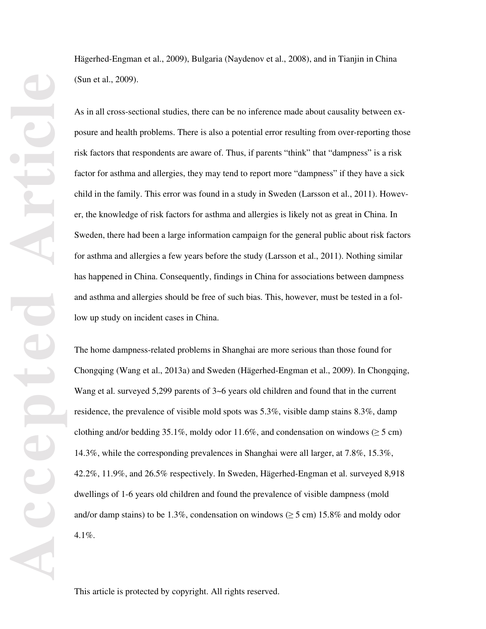Hägerhed-Engman et al., 2009), Bulgaria (Naydenov et al., 2008), and in Tianjin in China (Sun et al., 2009).

As in all cross-sectional studies, there can be no inference made about causality between exposure and health problems. There is also a potential error resulting from over-reporting those risk factors that respondents are aware of. Thus, if parents "think" that "dampness" is a risk factor for asthma and allergies, they may tend to report more "dampness" if they have a sick child in the family. This error was found in a study in Sweden (Larsson et al., 2011). However, the knowledge of risk factors for asthma and allergies is likely not as great in China. In Sweden, there had been a large information campaign for the general public about risk factors for asthma and allergies a few years before the study (Larsson et al., 2011). Nothing similar has happened in China. Consequently, findings in China for associations between dampness and asthma and allergies should be free of such bias. This, however, must be tested in a follow up study on incident cases in China.

The home dampness-related problems in Shanghai are more serious than those found for Chongqing (Wang et al., 2013a) and Sweden (Hägerhed-Engman et al., 2009). In Chongqing, Wang et al. surveyed 5,299 parents of  $3\nu$ -6 years old children and found that in the current residence, the prevalence of visible mold spots was 5.3%, visible damp stains 8.3%, damp clothing and/or bedding 35.1%, moldy odor 11.6%, and condensation on windows ( $\geq$  5 cm) 14.3%, while the corresponding prevalences in Shanghai were all larger, at 7.8%, 15.3%, 42.2%, 11.9%, and 26.5% respectively. In Sweden, Hägerhed-Engman et al. surveyed 8,918 dwellings of 1-6 years old children and found the prevalence of visible dampness (mold and/or damp stains) to be 1.3%, condensation on windows ( $\geq$  5 cm) 15.8% and moldy odor 4.1%.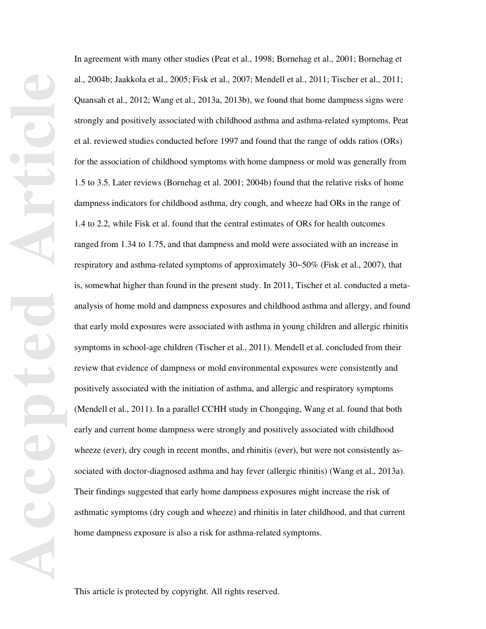In agreement with many other studies (Peat et al., 1998; Bornehag et al., 2001; Bornehag et al., 2004b; Jaakkola et al., 2005; Fisk et al., 2007; Mendell et al., 2011; Tischer et al., 2011; Quansah et al., 2012; Wang et al., 2013a, 2013b), we found that home dampness signs were strongly and positively associated with childhood asthma and asthma-related symptoms. Peat et al. reviewed studies conducted before 1997 and found that the range of odds ratios (ORs) for the association of childhood symptoms with home dampness or mold was generally from 1.5 to 3.5. Later reviews (Bornehag et al. 2001; 2004b) found that the relative risks of home dampness indicators for childhood asthma, dry cough, and wheeze had ORs in the range of 1.4 to 2.2, while Fisk et al. found that the central estimates of ORs for health outcomes ranged from 1.34 to 1.75, and that dampness and mold were associated with an increase in respiratory and asthma-related symptoms of approximately 30~50% (Fisk et al., 2007), that is, somewhat higher than found in the present study. In 2011, Tischer et al. conducted a metaanalysis of home mold and dampness exposures and childhood asthma and allergy, and found that early mold exposures were associated with asthma in young children and allergic rhinitis symptoms in school-age children (Tischer et al., 2011). Mendell et al. concluded from their review that evidence of dampness or mold environmental exposures were consistently and positively associated with the initiation of asthma, and allergic and respiratory symptoms (Mendell et al., 2011). In a parallel CCHH study in Chongqing, Wang et al. found that both early and current home dampness were strongly and positively associated with childhood wheeze (ever), dry cough in recent months, and rhinitis (ever), but were not consistently associated with doctor-diagnosed asthma and hay fever (allergic rhinitis) (Wang et al., 2013a). Their findings suggested that early home dampness exposures might increase the risk of asthmatic symptoms (dry cough and wheeze) and rhinitis in later childhood, and that current home dampness exposure is also a risk for asthma-related symptoms.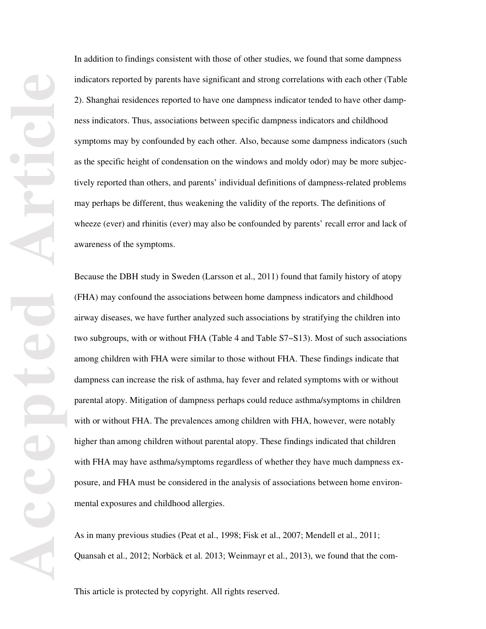In addition to findings consistent with those of other studies, we found that some dampness indicators reported by parents have significant and strong correlations with each other (Table 2). Shanghai residences reported to have one dampness indicator tended to have other dampness indicators. Thus, associations between specific dampness indicators and childhood symptoms may by confounded by each other. Also, because some dampness indicators (such as the specific height of condensation on the windows and moldy odor) may be more subjectively reported than others, and parents' individual definitions of dampness-related problems may perhaps be different, thus weakening the validity of the reports. The definitions of wheeze (ever) and rhinitis (ever) may also be confounded by parents' recall error and lack of awareness of the symptoms.

Because the DBH study in Sweden (Larsson et al., 2011) found that family history of atopy (FHA) may confound the associations between home dampness indicators and childhood airway diseases, we have further analyzed such associations by stratifying the children into two subgroups, with or without FHA (Table 4 and Table S7~S13). Most of such associations among children with FHA were similar to those without FHA. These findings indicate that dampness can increase the risk of asthma, hay fever and related symptoms with or without parental atopy. Mitigation of dampness perhaps could reduce asthma/symptoms in children with or without FHA. The prevalences among children with FHA, however, were notably higher than among children without parental atopy. These findings indicated that children with FHA may have asthma/symptoms regardless of whether they have much dampness exposure, and FHA must be considered in the analysis of associations between home environmental exposures and childhood allergies.

As in many previous studies (Peat et al., 1998; Fisk et al., 2007; Mendell et al., 2011; Quansah et al., 2012; Norbäck et al. 2013; Weinmayr et al., 2013), we found that the com-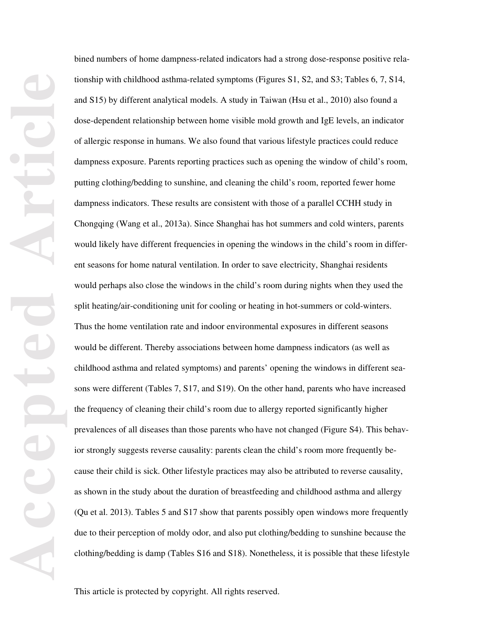bined numbers of home dampness-related indicators had a strong dose-response positive relationship with childhood asthma-related symptoms (Figures S1, S2, and S3; Tables 6, 7, S14, and S15) by different analytical models. A study in Taiwan (Hsu et al., 2010) also found a dose-dependent relationship between home visible mold growth and IgE levels, an indicator of allergic response in humans. We also found that various lifestyle practices could reduce dampness exposure. Parents reporting practices such as opening the window of child's room, putting clothing/bedding to sunshine, and cleaning the child's room, reported fewer home dampness indicators. These results are consistent with those of a parallel CCHH study in Chongqing (Wang et al., 2013a). Since Shanghai has hot summers and cold winters, parents would likely have different frequencies in opening the windows in the child's room in different seasons for home natural ventilation. In order to save electricity, Shanghai residents would perhaps also close the windows in the child's room during nights when they used the split heating/air-conditioning unit for cooling or heating in hot-summers or cold-winters. Thus the home ventilation rate and indoor environmental exposures in different seasons would be different. Thereby associations between home dampness indicators (as well as childhood asthma and related symptoms) and parents' opening the windows in different seasons were different (Tables 7, S17, and S19). On the other hand, parents who have increased the frequency of cleaning their child's room due to allergy reported significantly higher prevalences of all diseases than those parents who have not changed (Figure S4). This behavior strongly suggests reverse causality: parents clean the child's room more frequently because their child is sick. Other lifestyle practices may also be attributed to reverse causality, as shown in the study about the duration of breastfeeding and childhood asthma and allergy (Qu et al. 2013). Tables 5 and S17 show that parents possibly open windows more frequently due to their perception of moldy odor, and also put clothing/bedding to sunshine because the clothing/bedding is damp (Tables S16 and S18). Nonetheless, it is possible that these lifestyle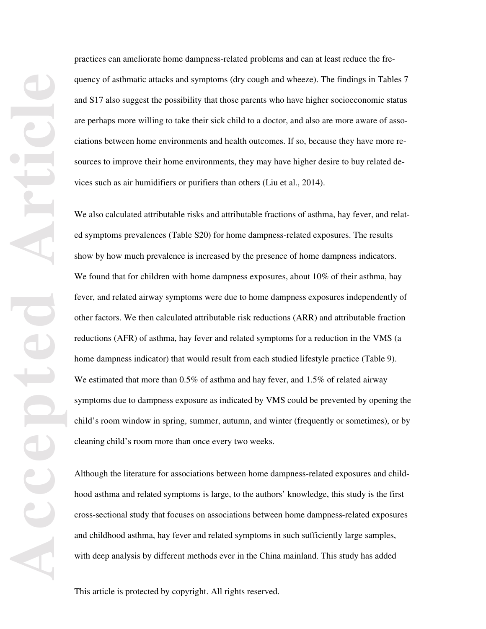practices can ameliorate home dampness-related problems and can at least reduce the frequency of asthmatic attacks and symptoms (dry cough and wheeze). The findings in Tables 7 and S17 also suggest the possibility that those parents who have higher socioeconomic status are perhaps more willing to take their sick child to a doctor, and also are more aware of associations between home environments and health outcomes. If so, because they have more resources to improve their home environments, they may have higher desire to buy related devices such as air humidifiers or purifiers than others (Liu et al., 2014).

We also calculated attributable risks and attributable fractions of asthma, hay fever, and related symptoms prevalences (Table S20) for home dampness-related exposures. The results show by how much prevalence is increased by the presence of home dampness indicators. We found that for children with home dampness exposures, about 10% of their asthma, hay fever, and related airway symptoms were due to home dampness exposures independently of other factors. We then calculated attributable risk reductions (ARR) and attributable fraction reductions (AFR) of asthma, hay fever and related symptoms for a reduction in the VMS (a home dampness indicator) that would result from each studied lifestyle practice (Table 9). We estimated that more than 0.5% of asthma and hay fever, and 1.5% of related airway symptoms due to dampness exposure as indicated by VMS could be prevented by opening the child's room window in spring, summer, autumn, and winter (frequently or sometimes), or by cleaning child's room more than once every two weeks.

Although the literature for associations between home dampness-related exposures and childhood asthma and related symptoms is large, to the authors' knowledge, this study is the first cross-sectional study that focuses on associations between home dampness-related exposures and childhood asthma, hay fever and related symptoms in such sufficiently large samples, with deep analysis by different methods ever in the China mainland. This study has added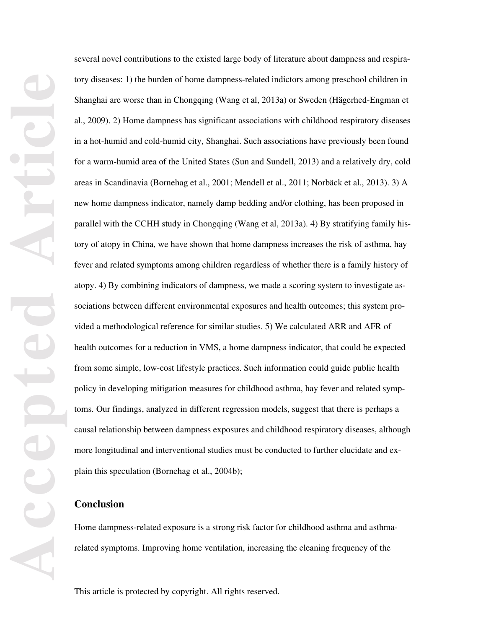several novel contributions to the existed large body of literature about dampness and respiratory diseases: 1) the burden of home dampness-related indictors among preschool children in Shanghai are worse than in Chongqing (Wang et al, 2013a) or Sweden (Hägerhed-Engman et al., 2009). 2) Home dampness has significant associations with childhood respiratory diseases in a hot-humid and cold-humid city, Shanghai. Such associations have previously been found for a warm-humid area of the United States (Sun and Sundell, 2013) and a relatively dry, cold areas in Scandinavia (Bornehag et al., 2001; Mendell et al., 2011; Norbäck et al., 2013). 3) A new home dampness indicator, namely damp bedding and/or clothing, has been proposed in parallel with the CCHH study in Chongqing (Wang et al, 2013a). 4) By stratifying family history of atopy in China, we have shown that home dampness increases the risk of asthma, hay fever and related symptoms among children regardless of whether there is a family history of atopy. 4) By combining indicators of dampness, we made a scoring system to investigate associations between different environmental exposures and health outcomes; this system provided a methodological reference for similar studies. 5) We calculated ARR and AFR of health outcomes for a reduction in VMS, a home dampness indicator, that could be expected from some simple, low-cost lifestyle practices. Such information could guide public health policy in developing mitigation measures for childhood asthma, hay fever and related symptoms. Our findings, analyzed in different regression models, suggest that there is perhaps a causal relationship between dampness exposures and childhood respiratory diseases, although more longitudinal and interventional studies must be conducted to further elucidate and explain this speculation (Bornehag et al., 2004b);

# **Conclusion**

Home dampness-related exposure is a strong risk factor for childhood asthma and asthmarelated symptoms. Improving home ventilation, increasing the cleaning frequency of the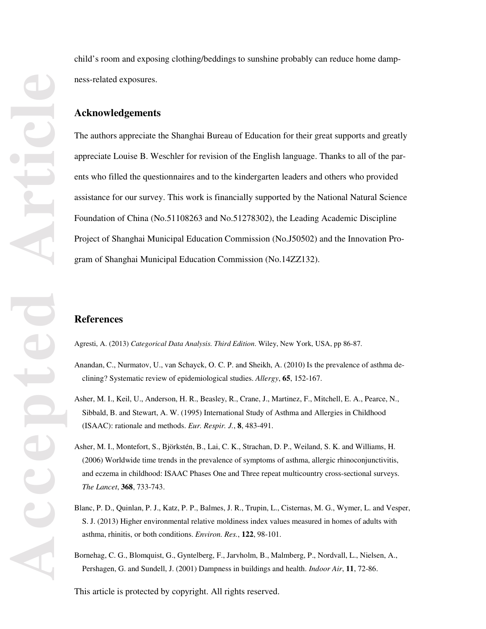child's room and exposing clothing/beddings to sunshine probably can reduce home dampness-related exposures.

## **Acknowledgements**

The authors appreciate the Shanghai Bureau of Education for their great supports and greatly appreciate Louise B. Weschler for revision of the English language. Thanks to all of the parents who filled the questionnaires and to the kindergarten leaders and others who provided assistance for our survey. This work is financially supported by the National Natural Science Foundation of China (No.51108263 and No.51278302), the Leading Academic Discipline Project of Shanghai Municipal Education Commission (No.J50502) and the Innovation Program of Shanghai Municipal Education Commission (No.14ZZ132).

# **References**

Agresti, A. (2013) *Categorical Data Analysis. Third Edition*. Wiley, New York, USA, pp 86-87.

- Anandan, C., Nurmatov, U., van Schayck, O. C. P. and Sheikh, A. (2010) Is the prevalence of asthma declining? Systematic review of epidemiological studies. *Allergy*, **65**, 152-167.
- Asher, M. I., Keil, U., Anderson, H. R., Beasley, R., Crane, J., Martinez, F., Mitchell, E. A., Pearce, N., Sibbald, B. and Stewart, A. W. (1995) International Study of Asthma and Allergies in Childhood (ISAAC): rationale and methods. *Eur. Respir. J.*, **8**, 483-491.
- Asher, M. I., Montefort, S., Björkstén, B., Lai, C. K., Strachan, D. P., Weiland, S. K. and Williams, H. (2006) Worldwide time trends in the prevalence of symptoms of asthma, allergic rhinoconjunctivitis, and eczema in childhood: ISAAC Phases One and Three repeat multicountry cross-sectional surveys. *The Lancet*, **368**, 733-743.
- Blanc, P. D., Quinlan, P. J., Katz, P. P., Balmes, J. R., Trupin, L., Cisternas, M. G., Wymer, L. and Vesper, S. J. (2013) Higher environmental relative moldiness index values measured in homes of adults with asthma, rhinitis, or both conditions. *Environ. Res.*, **122**, 98-101.
- Bornehag, C. G., Blomquist, G., Gyntelberg, F., Jarvholm, B., Malmberg, P., Nordvall, L., Nielsen, A., Pershagen, G. and Sundell, J. (2001) Dampness in buildings and health. *Indoor Air*, **11**, 72-86.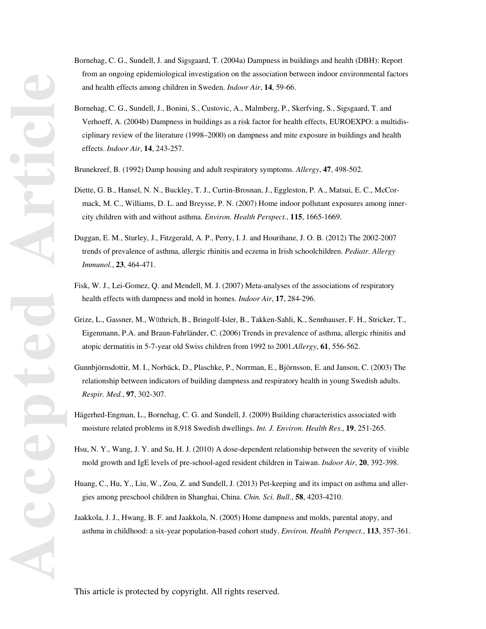- Bornehag, C. G., Sundell, J. and Sigsgaard, T. (2004a) Dampness in buildings and health (DBH): Report from an ongoing epidemiological investigation on the association between indoor environmental factors and health effects among children in Sweden. *Indoor Air*, **14**, 59-66.
- Bornehag, C. G., Sundell, J., Bonini, S., Custovic, A., Malmberg, P., Skerfving, S., Sigsgaard, T. and Verhoeff, A. (2004b) Dampness in buildings as a risk factor for health effects, EUROEXPO: a multidisciplinary review of the literature (1998–2000) on dampness and mite exposure in buildings and health effects. *Indoor Air*, **14**, 243-257.
- Brunekreef, B. (1992) Damp housing and adult respiratory symptoms. *Allergy*, **47**, 498-502.
- Diette, G. B., Hansel, N. N., Buckley, T. J., Curtin-Brosnan, J., Eggleston, P. A., Matsui, E. C., McCormack, M. C., Williams, D. L. and Breysse, P. N. (2007) Home indoor pollutant exposures among innercity children with and without asthma. *Environ. Health Perspect.*, **115**, 1665-1669.
- Duggan, E. M., Sturley, J., Fitzgerald, A. P., Perry, I. J. and Hourihane, J. O. B. (2012) The 2002-2007 trends of prevalence of asthma, allergic rhinitis and eczema in Irish schoolchildren. *Pediatr. Allergy Immunol.*, **23**, 464-471.
- Fisk, W. J., Lei-Gomez, Q. and Mendell, M. J. (2007) Meta-analyses of the associations of respiratory health effects with dampness and mold in homes. *Indoor Air*, **17**, 284-296.
- Grize, L., Gassner, M., Wüthrich, B., Bringolf-Isler, B., Takken-Sahli, K., Sennhauser, F. H., Stricker, T., Eigenmann, P.A. and Braun-Fahrländer, C. (2006) Trends in prevalence of asthma, allergic rhinitis and atopic dermatitis in 5-7-year old Swiss children from 1992 to 2001.*Allergy*, **61**, 556-562.
- Gunnbjörnsdottir, M. I., Norbäck, D., Plaschke, P., Norrman, E., Björnsson, E. and Janson, C. (2003) The relationship between indicators of building dampness and respiratory health in young Swedish adults. *Respir. Med.*, **97**, 302-307.
- Hägerhed-Engman, L., Bornehag, C. G. and Sundell, J. (2009) Building characteristics associated with moisture related problems in 8,918 Swedish dwellings. *Int. J. Environ. Health Res.*, **19**, 251-265.
- Hsu, N. Y., Wang, J. Y. and Su, H. J. (2010) A dose-dependent relationship between the severity of visible mold growth and IgE levels of pre-school-aged resident children in Taiwan. *Indoor Air*, **20**, 392-398.
- Huang, C., Hu, Y., Liu, W., Zou, Z. and Sundell, J. (2013) Pet-keeping and its impact on asthma and allergies among preschool children in Shanghai, China. *Chin. Sci. Bull.*, **58**, 4203-4210.
- Jaakkola, J. J., Hwang, B. F. and Jaakkola, N. (2005) Home dampness and molds, parental atopy, and asthma in childhood: a six-year population-based cohort study. *Environ. Health Perspect.*, **113**, 357-361.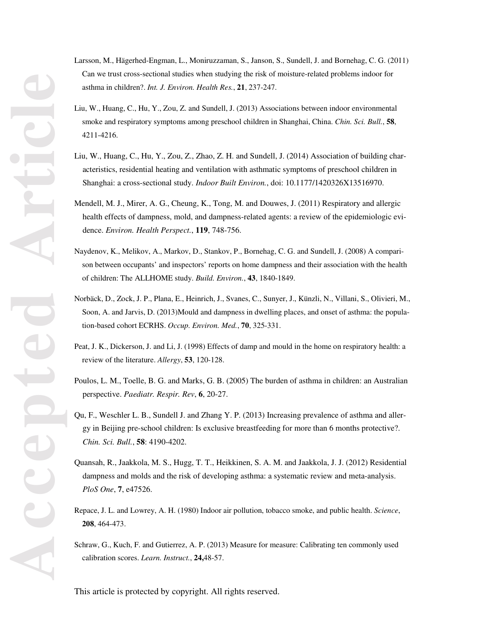- Larsson, M., Hägerhed-Engman, L., Moniruzzaman, S., Janson, S., Sundell, J. and Bornehag, C. G. (2011) Can we trust cross-sectional studies when studying the risk of moisture-related problems indoor for asthma in children?. *Int. J. Environ. Health Res.*, **21**, 237-247.
- Liu, W., Huang, C., Hu, Y., Zou, Z. and Sundell, J. (2013) Associations between indoor environmental smoke and respiratory symptoms among preschool children in Shanghai, China. *Chin. Sci. Bull.*, **58**, 4211-4216.
- Liu, W., Huang, C., Hu, Y., Zou, Z., Zhao, Z. H. and Sundell, J. (2014) Association of building characteristics, residential heating and ventilation with asthmatic symptoms of preschool children in Shanghai: a cross-sectional study. *Indoor Built Environ.*, doi: 10.1177/1420326X13516970.
- Mendell, M. J., Mirer, A. G., Cheung, K., Tong, M. and Douwes, J. (2011) Respiratory and allergic health effects of dampness, mold, and dampness-related agents: a review of the epidemiologic evidence. *Environ. Health Perspect.*, **119**, 748-756.
- Naydenov, K., Melikov, A., Markov, D., Stankov, P., Bornehag, C. G. and Sundell, J. (2008) A comparison between occupants' and inspectors' reports on home dampness and their association with the health of children: The ALLHOME study. *Build. Environ.*, **43**, 1840-1849.
- Norbäck, D., Zock, J. P., Plana, E., Heinrich, J., Svanes, C., Sunyer, J., Künzli, N., Villani, S., Olivieri, M., Soon, A. and Jarvis, D. (2013)Mould and dampness in dwelling places, and onset of asthma: the population-based cohort ECRHS. *Occup. Environ. Med.*, **70**, 325-331.
- Peat, J. K., Dickerson, J. and Li, J. (1998) Effects of damp and mould in the home on respiratory health: a review of the literature. *Allergy*, **53**, 120-128.
- Poulos, L. M., Toelle, B. G. and Marks, G. B. (2005) The burden of asthma in children: an Australian perspective. *Paediatr. Respir. Rev*, **6**, 20-27.
- Qu, F., Weschler L. B., Sundell J. and Zhang Y. P. (2013) Increasing prevalence of asthma and allergy in Beijing pre-school children: Is exclusive breastfeeding for more than 6 months protective?. *Chin. Sci. Bull.*, **58**: 4190-4202.
- Quansah, R., Jaakkola, M. S., Hugg, T. T., Heikkinen, S. A. M. and Jaakkola, J. J. (2012) Residential dampness and molds and the risk of developing asthma: a systematic review and meta-analysis. *PloS One*, **7**, e47526.
- Repace, J. L. and Lowrey, A. H. (1980) Indoor air pollution, tobacco smoke, and public health. *Science*, **208**, 464-473.
- Schraw, G., Kuch, F. and Gutierrez, A. P. (2013) Measure for measure: Calibrating ten commonly used calibration scores. *Learn. Instruct.*, **24,**48-57.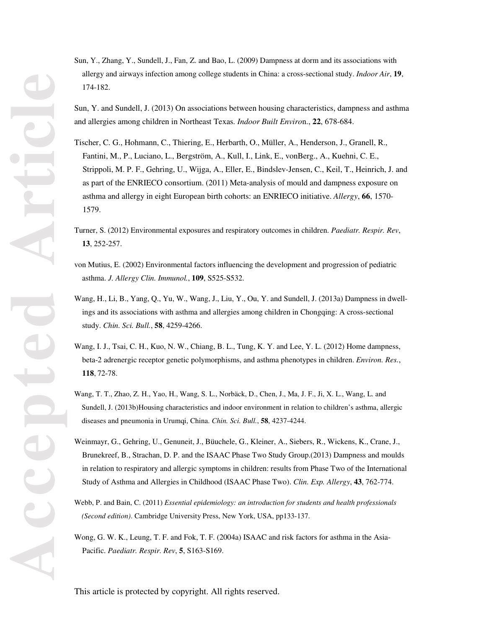- Sun, Y., Zhang, Y., Sundell, J., Fan, Z. and Bao, L. (2009) Dampness at dorm and its associations with allergy and airways infection among college students in China: a cross-sectional study. *Indoor Air*, **19**, 174-182.
- Sun, Y. and Sundell, J. (2013) On associations between housing characteristics, dampness and asthma and allergies among children in Northeast Texas. *Indoor Built Enviro*n., **22**, 678-684.
- Tischer, C. G., Hohmann, C., Thiering, E., Herbarth, O., Müller, A., Henderson, J., Granell, R., Fantini, M., P., Luciano, L., Bergström, A., Kull, I., Link, E., vonBerg., A., Kuehni, C. E., Strippoli, M. P. F., Gehring, U., Wijga, A., Eller, E., Bindslev-Jensen, C., Keil, T., Heinrich, J. and as part of the ENRIECO consortium. (2011) Meta-analysis of mould and dampness exposure on asthma and allergy in eight European birth cohorts: an ENRIECO initiative. *Allergy*, **66**, 1570- 1579.
- Turner, S. (2012) Environmental exposures and respiratory outcomes in children. *Paediatr. Respir. Rev*, **13**, 252-257.
- von Mutius, E. (2002) Environmental factors influencing the development and progression of pediatric asthma. *J. Allergy Clin. Immunol.*, **109**, S525-S532.
- Wang, H., Li, B., Yang, Q., Yu, W., Wang, J., Liu, Y., Ou, Y. and Sundell, J. (2013a) Dampness in dwellings and its associations with asthma and allergies among children in Chongqing: A cross-sectional study. *Chin. Sci. Bull.*, **58**, 4259-4266.
- Wang, I. J., Tsai, C. H., Kuo, N. W., Chiang, B. L., Tung, K. Y. and Lee, Y. L. (2012) Home dampness, beta-2 adrenergic receptor genetic polymorphisms, and asthma phenotypes in children. *Environ. Res.*, **118**, 72-78.
- Wang, T. T., Zhao, Z. H., Yao, H., Wang, S. L., Norbäck, D., Chen, J., Ma, J. F., Ji, X. L., Wang, L. and Sundell, J. (2013b)Housing characteristics and indoor environment in relation to children's asthma, allergic diseases and pneumonia in Urumqi, China. *Chin. Sci. Bull.*, **58**, 4237-4244.
- Weinmayr, G., Gehring, U., Genuneit, J., Büuchele, G., Kleiner, A., Siebers, R., Wickens, K., Crane, J., Brunekreef, B., Strachan, D. P. and the ISAAC Phase Two Study Group.(2013) Dampness and moulds in relation to respiratory and allergic symptoms in children: results from Phase Two of the International Study of Asthma and Allergies in Childhood (ISAAC Phase Two). *Clin. Exp. Allergy*, **43**, 762-774.
- Webb, P. and Bain, C. (2011) *Essential epidemiology: an introduction for students and health professionals (Second edition)*. Cambridge University Press, New York, USA, pp133-137.
- Wong, G. W. K., Leung, T. F. and Fok, T. F. (2004a) ISAAC and risk factors for asthma in the Asia-Pacific. *Paediatr. Respir. Rev*, **5**, S163-S169.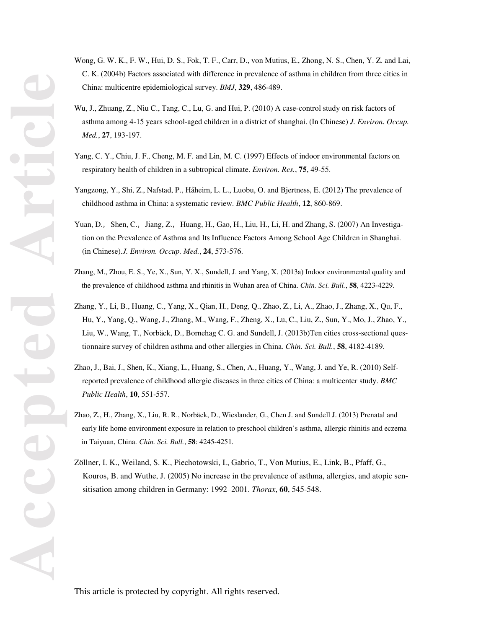- Wong, G. W. K., F. W., Hui, D. S., Fok, T. F., Carr, D., von Mutius, E., Zhong, N. S., Chen, Y. Z. and Lai, C. K. (2004b) Factors associated with difference in prevalence of asthma in children from three cities in China: multicentre epidemiological survey. *BMJ*, **329**, 486-489.
- Wu, J., Zhuang, Z., Niu C., Tang, C., Lu, G. and Hui, P. (2010) A case-control study on risk factors of asthma among 4-15 years school-aged children in a district of shanghai. (In Chinese) *J. Environ. Occup. Med.*, **27**, 193-197.
- Yang, C. Y., Chiu, J. F., Cheng, M. F. and Lin, M. C. (1997) Effects of indoor environmental factors on respiratory health of children in a subtropical climate. *Environ. Res.*, **75**, 49-55.
- Yangzong, Y., Shi, Z., Nafstad, P., Håheim, L. L., Luobu, O. and Bjertness, E. (2012) The prevalence of childhood asthma in China: a systematic review. *BMC Public Health*, **12**, 860-869.
- Yuan, D., Shen, C., Jiang, Z., Huang, H., Gao, H., Liu, H., Li, H. and Zhang, S. (2007) An Investigation on the Prevalence of Asthma and Its Influence Factors Among School Age Children in Shanghai. (in Chinese).*J. Environ. Occup. Med.*, **24**, 573-576.
- Zhang, M., Zhou, E. S., Ye, X., Sun, Y. X., Sundell, J. and Yang, X. (2013a) Indoor environmental quality and the prevalence of childhood asthma and rhinitis in Wuhan area of China. *Chin. Sci. Bull.*, **58**, 4223-4229.
- Zhang, Y., Li, B., Huang, C., Yang, X., Qian, H., Deng, Q., Zhao, Z., Li, A., Zhao, J., Zhang, X., Qu, F., Hu, Y., Yang, Q., Wang, J., Zhang, M., Wang, F., Zheng, X., Lu, C., Liu, Z., Sun, Y., Mo, J., Zhao, Y., Liu, W., Wang, T., Norbäck, D., Bornehag C. G. and Sundell, J. (2013b)Ten cities cross-sectional questionnaire survey of children asthma and other allergies in China. *Chin. Sci. Bull.*, **58**, 4182-4189.
- Zhao, J., Bai, J., Shen, K., Xiang, L., Huang, S., Chen, A., Huang, Y., Wang, J. and Ye, R. (2010) Selfreported prevalence of childhood allergic diseases in three cities of China: a multicenter study. *BMC Public Health*, **10**, 551-557.
- Zhao, Z., H., Zhang, X., Liu, R. R., Norbäck, D., Wieslander, G., Chen J. and Sundell J. (2013) Prenatal and early life home environment exposure in relation to preschool children's asthma, allergic rhinitis and eczema in Taiyuan, China. *Chin. Sci. Bull.*, **58**: 4245-4251.
- Zöllner, I. K., Weiland, S. K., Piechotowski, I., Gabrio, T., Von Mutius, E., Link, B., Pfaff, G., Kouros, B. and Wuthe, J. (2005) No increase in the prevalence of asthma, allergies, and atopic sensitisation among children in Germany: 1992–2001. *Thorax*, **60**, 545-548.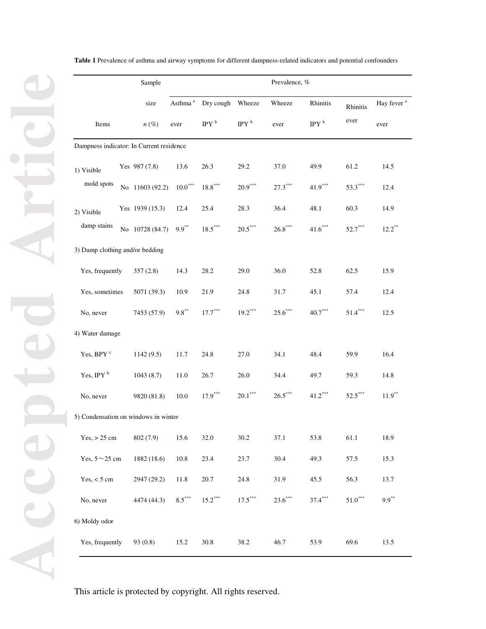|                                          | Sample          |                 |                     |                       |                       | Prevalence, %         |                                |                     |                        |  |
|------------------------------------------|-----------------|-----------------|---------------------|-----------------------|-----------------------|-----------------------|--------------------------------|---------------------|------------------------|--|
|                                          |                 | size            | Asthma <sup>a</sup> | Dry cough Wheeze      |                       | Wheeze                | Rhinitis                       | Rhinitis            | Hay fever <sup>a</sup> |  |
| Items                                    |                 | $n(\%)$         | ever                | IPY <sup>b</sup>      | IPY $^{\rm b}$        | ever                  | $\mathrm{IPY}$ $^{\mathrm{b}}$ | ever                | ever                   |  |
| Dampness indicator: In Current residence |                 |                 |                     |                       |                       |                       |                                |                     |                        |  |
| 1) Visible                               |                 | Yes 987 (7.8)   | 13.6                | 26.3                  | 29.2                  | 37.0                  | 49.9                           | 61.2                | 14.5                   |  |
| mold spots                               |                 | No 11603 (92.2) | $10.0***$           | $18.8***$             | $20.9***$             | $27.3^{\ast\ast\ast}$ | $\textbf{41.9}^{\ast\ast\ast}$ | $53.3***$           | 12.4                   |  |
| 2) Visible<br>damp stains                |                 | Yes 1939 (15.3) | 12.4                | 25.4                  | 28.3                  | 36.4                  | 48.1                           | 60.3                | 14.9                   |  |
|                                          |                 | No 10728 (84.7) | $9.9***$            | $18.5^{\ast\ast\ast}$ | $20.5^{\ast\ast\ast}$ | $26.8^{\ast\ast\ast}$ | $41.6***$                      | $52.7***$           | $12.2***$              |  |
| 3) Damp clothing and/or bedding          |                 |                 |                     |                       |                       |                       |                                |                     |                        |  |
| Yes, frequently                          |                 | 357(2.8)        | 14.3                | 28.2                  | 29.0                  | 36.0                  | 52.8                           | 62.5                | 15.9                   |  |
| Yes, sometimes                           |                 | 5071 (39.3)     | 10.9                | 21.9                  | 24.8                  | 31.7                  | 45.1                           | 57.4                | 12.4                   |  |
| No, never                                |                 | 7453 (57.9)     | $9.8***$            | $17.7***$             | $19.2***$             | $25.6***$             | $40.7^\mathrm{***}$            | $51.4***$           | 12.5                   |  |
|                                          | 4) Water damage |                 |                     |                       |                       |                       |                                |                     |                        |  |
| Yes, BPY c                               |                 | 1142(9.5)       | 11.7                | 24.8                  | 27.0                  | 34.1                  | 48.4                           | 59.9                | 16.4                   |  |
| Yes, IPY <sup>b</sup>                    |                 | 1043(8.7)       | 11.0                | 26.7                  | 26.0                  | 34.4                  | 49.7                           | 59.3                | 14.8                   |  |
| No, never                                |                 | 9820 (81.8)     | 10.0                | $17.9***$             | $20.1^{\ast\ast\ast}$ | $26.5***$             | $41.2***$                      | $52.5***$           | $11.9***$              |  |
| 5) Condensation on windows in winter     |                 |                 |                     |                       |                       |                       |                                |                     |                        |  |
| $Yes, > 25$ cm                           |                 | 802(7.9)        | 15.6                | 32.0                  | 30.2                  | 37.1                  | 53.8                           | 61.1                | 18.9                   |  |
| Yes, $5 \sim 25$ cm                      |                 | 1882 (18.6)     | 10.8                | 23.4                  | 23.7                  | 30.4                  | 49.3                           | 57.5                | 15.3                   |  |
| $Yes, < 5$ cm                            |                 | 2947 (29.2)     | 11.8                | 20.7                  | 24.8                  | 31.9                  | 45.5                           | 56.3                | 13.7                   |  |
| No, never                                |                 | 4474 (44.3)     | $8.5***$            | $15.2***$             | $17.5^{\ast\ast\ast}$ | $23.6***$             | $37.4***$                      | $51.0^\mathrm{***}$ | $9.9***$               |  |
| 6) Moldy odor                            |                 |                 |                     |                       |                       |                       |                                |                     |                        |  |
| Yes, frequently                          |                 | 93 (0.8)        | 15.2                | 30.8                  | 38.2                  | 46.7                  | 53.9                           | 69.6                | 13.5                   |  |

**Table 1** Prevalence of asthma and airway symptoms for different dampness-related indicators and potential confounders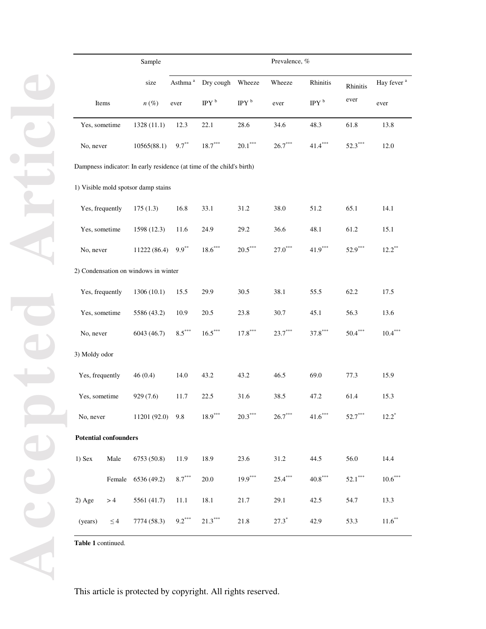|                                                                       |                                      | Sample             |                    |                               |                       |           | Prevalence, %  |           |                        |  |
|-----------------------------------------------------------------------|--------------------------------------|--------------------|--------------------|-------------------------------|-----------------------|-----------|----------------|-----------|------------------------|--|
|                                                                       |                                      | size               |                    | Asthma <sup>a</sup> Dry cough | Wheeze                | Wheeze    | Rhinitis       | Rhinitis  | Hay fever <sup>a</sup> |  |
|                                                                       | Items                                | $n(\%)$            | ever               | IPY <sup>b</sup>              | IPY $^{\rm b}$        | ever      | IPY $^{\rm b}$ | ever      | ever                   |  |
| Yes, sometime                                                         |                                      | 1328(11.1)         | 12.3               | 22.1                          | 28.6                  | 34.6      | 48.3           | 61.8      | 13.8                   |  |
| No, never                                                             |                                      | 10565(88.1)        | $9.7***$           | $18.7***$                     | $20.1^{\ast\ast\ast}$ | $26.7***$ | $41.4***$      | $52.3***$ | 12.0                   |  |
| Dampness indicator: In early residence (at time of the child's birth) |                                      |                    |                    |                               |                       |           |                |           |                        |  |
|                                                                       | 1) Visible mold spotsor damp stains  |                    |                    |                               |                       |           |                |           |                        |  |
| Yes, frequently                                                       |                                      | 175(1.3)           | 16.8               | 33.1                          | 31.2                  | 38.0      | 51.2           | 65.1      | 14.1                   |  |
| Yes, sometime                                                         |                                      | 1598 (12.3)        | 11.6               | 24.9                          | 29.2                  | 36.6      | 48.1           | 61.2      | 15.1                   |  |
| No, never                                                             |                                      | 11222 (86.4)       | $9.9***$           | $18.6***$                     | $20.5***$             | $27.0***$ | $41.9***$      | $52.9***$ | $12.2***$              |  |
|                                                                       | 2) Condensation on windows in winter |                    |                    |                               |                       |           |                |           |                        |  |
| Yes, frequently                                                       |                                      | 1306 (10.1)        | 15.5               | 29.9                          | 30.5                  | 38.1      | 55.5           | 62.2      | 17.5                   |  |
| Yes, sometime                                                         |                                      | 5586 (43.2)        | 10.9               | 20.5                          | 23.8                  | 30.7      | 45.1           | 56.3      | 13.6                   |  |
| No, never                                                             |                                      | 6043 (46.7)        | $8.5^\mathrm{***}$ | $16.5***$                     | $17.8***$             | $23.7***$ | $37.8***$      | $50.4***$ | $10.4***$              |  |
| 3) Moldy odor                                                         |                                      |                    |                    |                               |                       |           |                |           |                        |  |
| Yes, frequently                                                       |                                      | 46(0.4)            | 14.0               | 43.2                          | 43.2                  | 46.5      | 69.0           | 77.3      | 15.9                   |  |
| Yes, sometime                                                         |                                      | 929(7.6)           | 11.7               | 22.5                          | 31.6                  | 38.5      | 47.2           | 61.4      | 15.3                   |  |
| No, never                                                             |                                      | $11201(92.0)$ 9.8  |                    | $18.9***$                     | $20.3***$             | $26.7***$ | $41.6***$      | $52.7***$ | $12.2^*$               |  |
| <b>Potential confounders</b>                                          |                                      |                    |                    |                               |                       |           |                |           |                        |  |
| $1)$ Sex                                                              | Male                                 | 6753 (50.8)        | 11.9               | 18.9                          | 23.6                  | 31.2      | 44.5           | 56.0      | 14.4                   |  |
|                                                                       |                                      | Female 6536 (49.2) | $8.7***$           | 20.0                          | $19.9***$             | $25.4***$ | $40.8***$      | $52.1***$ | $10.6***$              |  |
| $2)$ Age                                                              | >4                                   | 5561 (41.7)        | 11.1               | 18.1                          | 21.7                  | 29.1      | 42.5           | 54.7      | 13.3                   |  |
| (years)                                                               | $\leq$ 4                             | 7774 (58.3)        | $9.2***$           | $21.3***$                     | 21.8                  | $27.3^*$  | 42.9           | 53.3      | $11.6***$              |  |

**Table 1** continued.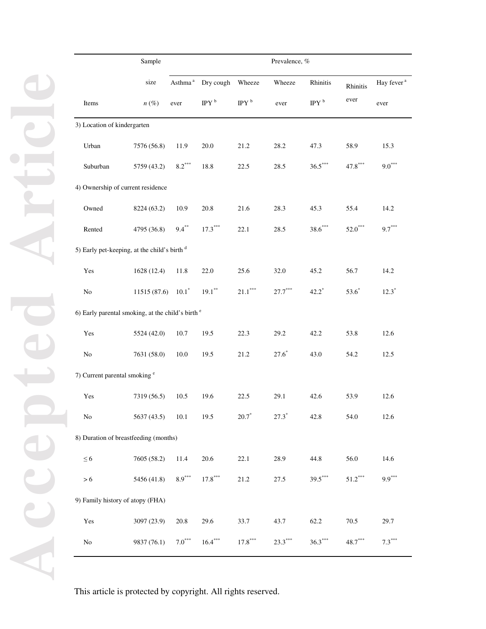|                                                              | Sample      |          |                               |                       | Prevalence, %                   |                |                     |                        |
|--------------------------------------------------------------|-------------|----------|-------------------------------|-----------------------|---------------------------------|----------------|---------------------|------------------------|
|                                                              | size        |          | Asthma <sup>a</sup> Dry cough | Wheeze                | Wheeze                          | Rhinitis       | Rhinitis            | Hay fever <sup>a</sup> |
| Items                                                        | $n(\%)$     | ever     | IPY $^{\rm b}$                | IPY $^{\rm b}$        | ever                            | IPY $^{\rm b}$ | ever                | ever                   |
| 3) Location of kindergarten                                  |             |          |                               |                       |                                 |                |                     |                        |
| Urban                                                        | 7576 (56.8) | 11.9     | 20.0                          | 21.2                  | 28.2                            | 47.3           | 58.9                | 15.3                   |
| Suburban                                                     | 5759 (43.2) | $8.2***$ | 18.8                          | 22.5                  | 28.5                            | $36.5***$      | $47.8***$           | $9.0***$               |
| 4) Ownership of current residence                            |             |          |                               |                       |                                 |                |                     |                        |
| Owned                                                        | 8224 (63.2) | 10.9     | 20.8                          | 21.6                  | 28.3                            | 45.3           | 55.4                | 14.2                   |
| Rented                                                       | 4795 (36.8) | $9.4***$ | $17.3***$                     | 22.1                  | 28.5                            | $38.6***$      | $52.0***$           | $9.7***$               |
| 5) Early pet-keeping, at the child's birth $d$               |             |          |                               |                       |                                 |                |                     |                        |
| Yes                                                          | 1628 (12.4) | 11.8     | 22.0                          | 25.6                  | 32.0                            | 45.2           | 56.7                | 14.2                   |
| $\rm No$                                                     | 11515(87.6) | $10.1*$  | $19.1***$                     | $21.1^{\ast\ast\ast}$ | $27.7^\ast{}^{\ast}{}^{\ast}{}$ | $42.2^*$       | $53.6*$             | $12.3^*$               |
| 6) Early parental smoking, at the child's birth <sup>e</sup> |             |          |                               |                       |                                 |                |                     |                        |
| Yes                                                          | 5524 (42.0) | 10.7     | 19.5                          | 22.3                  | 29.2                            | 42.2           | 53.8                | 12.6                   |
| No                                                           | 7631 (58.0) | 10.0     | 19.5                          | 21.2                  | $27.6*$                         | 43.0           | 54.2                | 12.5                   |
| 7) Current parental smoking <sup>e</sup>                     |             |          |                               |                       |                                 |                |                     |                        |
| Yes                                                          | 7319 (56.5) | 10.5     | 19.6                          | 22.5                  | 29.1                            | 42.6           | 53.9                | 12.6                   |
| $\rm No$                                                     | 5637 (43.5) | 10.1     | 19.5                          | $20.7*$               | $27.3^*$                        | 42.8           | 54.0                | 12.6                   |
| 8) Duration of breastfeeding (months)                        |             |          |                               |                       |                                 |                |                     |                        |
| $\leq 6$                                                     | 7605 (58.2) | 11.4     | 20.6                          | 22.1                  | 28.9                            | 44.8           | 56.0                | 14.6                   |
| $> 6$                                                        | 5456 (41.8) | $8.9***$ | $17.8***$                     | 21.2                  | 27.5                            | $39.5***$      | $51.2^\mathrm{***}$ | $9.9***$               |
| 9) Family history of atopy (FHA)                             |             |          |                               |                       |                                 |                |                     |                        |
| Yes                                                          | 3097 (23.9) | $20.8\,$ | 29.6                          | 33.7                  | 43.7                            | 62.2           | 70.5                | 29.7                   |
| $\rm No$                                                     | 9837 (76.1) | $7.0***$ | $16.4***$                     | $17.8^{\ast\ast\ast}$ | $23.3***$                       | $36.3***$      | $48.7***$           | $7.3***$               |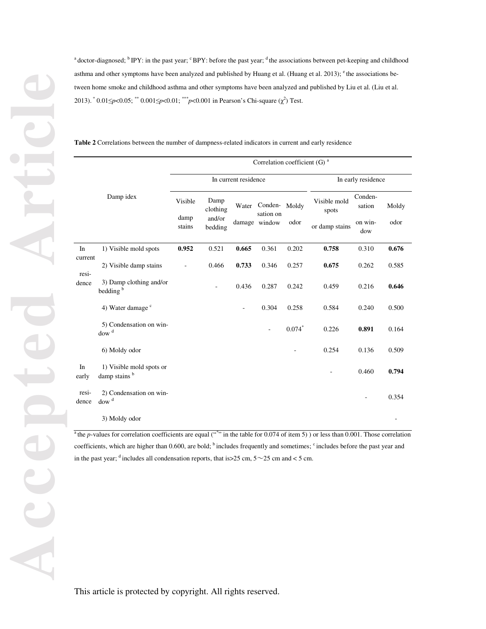<sup>a</sup> doctor-diagnosed; <sup>b</sup> IPY: in the past year; <sup>c</sup> BPY: before the past year; <sup>d</sup> the associations between pet-keeping and childhood asthma and other symptoms have been analyzed and published by Huang et al. (Huang et al. 2013); <sup>e</sup> the associations between home smoke and childhood asthma and other symptoms have been analyzed and published by Liu et al. (Liu et al. 2013). <sup>\*</sup> 0.01≤*p*<0.05; <sup>\*\*</sup> 0.001≤*p*<0.01; <sup>\*\*\*</sup>*p*<0.001 in Pearson's Chi-square (χ<sup>2</sup>) Test.

**Table 2** Correlations between the number of dampness-related indicators in current and early residence

|                  |                                                      |                |                          |                      | Correlation coefficient (G) $a$ |          |                       |                   |       |
|------------------|------------------------------------------------------|----------------|--------------------------|----------------------|---------------------------------|----------|-----------------------|-------------------|-------|
|                  |                                                      |                |                          | In current residence |                                 |          | In early residence    |                   |       |
|                  | Damp idex                                            | Visible        | Damp<br>clothing         | Water                | Conden-<br>sation on            | Moldy    | Visible mold<br>spots | Conden-<br>sation | Moldy |
|                  |                                                      | damp<br>stains | and/or<br>bedding        |                      | damage window                   | odor     | or damp stains        | on win-<br>dow    | odor  |
| In               | 1) Visible mold spots                                | 0.952          | 0.521                    | 0.665                | 0.361                           | 0.202    | 0.758                 | 0.310             | 0.676 |
| current<br>resi- | 2) Visible damp stains                               | L,             | 0.466                    | 0.733                | 0.346                           | 0.257    | 0.675                 | 0.262             | 0.585 |
| dence            | 3) Damp clothing and/or<br>bedding <sup>b</sup>      |                | $\overline{\phantom{0}}$ | 0.436                | 0.287                           | 0.242    | 0.459                 | 0.216             | 0.646 |
|                  | 4) Water damage <sup>c</sup>                         |                |                          | ÷                    | 0.304                           | 0.258    | 0.584                 | 0.240             | 0.500 |
|                  | 5) Condensation on win-<br>dow <sup>d</sup>          |                |                          |                      | $\overline{\phantom{a}}$        | $0.074*$ | 0.226                 | 0.891             | 0.164 |
|                  | 6) Moldy odor                                        |                |                          |                      |                                 |          | 0.254                 | 0.136             | 0.509 |
| In<br>early      | 1) Visible mold spots or<br>damp stains <sup>b</sup> |                |                          |                      |                                 |          |                       | 0.460             | 0.794 |
| resi-<br>dence   | 2) Condensation on win-<br>$d$ ow <sup>d</sup>       |                |                          |                      |                                 |          |                       |                   | 0.354 |
|                  | 3) Moldy odor                                        |                |                          |                      |                                 |          |                       |                   |       |

<sup>a</sup> the *p*-values for correlation coefficients are equal ( $"$ " in the table for 0.074 of item 5) ) or less than 0.001. Those correlation coefficients, which are higher than 0.600, are bold; <sup>b</sup> includes frequently and sometimes; <sup>c</sup> includes before the past year and in the past year; <sup>d</sup> includes all condensation reports, that is  $>$  25 cm,  $5 \sim$  25 cm and < 5 cm.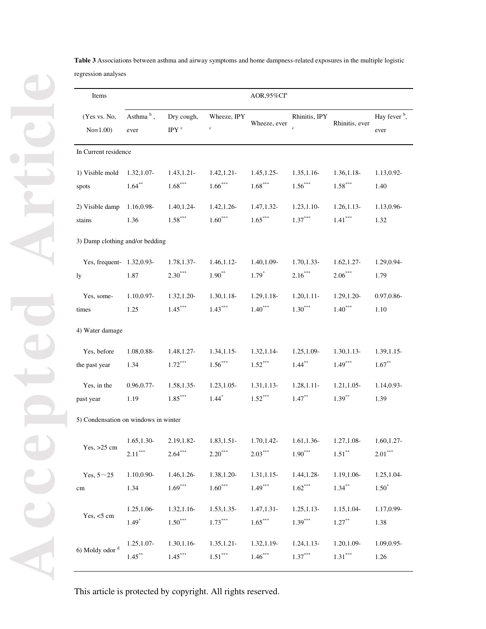| <b>Table 3</b> Associations between asthma and airway symptoms and home dampness-related exposures in the multiple logistic |  |
|-----------------------------------------------------------------------------------------------------------------------------|--|
| regression analyses                                                                                                         |  |

| Items                                |                   |                     |                        | AOR,95%CI <sup>a</sup> |                               |                |                                  |  |  |  |
|--------------------------------------|-------------------|---------------------|------------------------|------------------------|-------------------------------|----------------|----------------------------------|--|--|--|
| (Yes vs. No,<br>$No=1.00$            | Asthma b,<br>ever | Dry cough,<br>IPY c | Wheeze, IPY<br>$\rm c$ | Wheeze, ever           | Rhinitis, IPY<br>$\mathbf{c}$ | Rhinitis, ever | Hay fever <sup>b</sup> ,<br>ever |  |  |  |
| In Current residence                 |                   |                     |                        |                        |                               |                |                                  |  |  |  |
| 1) Visible mold 1.32, 1.07-          | $1.64***$         | 1.43, 1.21          | 1.42, 1.21             | 1.45, 1.25             | 1.35, 1.16                    | 1.36, 1.18-    | 1.13,0.92-                       |  |  |  |
| spots                                |                   | $1.68***$           | $1.66***$              | $1.68***$              | $1.56***$                     | $1.58***$      | 1.40                             |  |  |  |
| 2) Visible damp                      | 1.16,0.98-        | 1.40, 1.24-         | 1.42, 1.26             | 1.47, 1.32-            | 1.23, 1.10                    | 1.26, 1.13     | 1.13,0.96-                       |  |  |  |
| stains                               | 1.36              | $1.58***$           | $1.60***$              | $1.65***$              | $1.37***$                     | $1.41***$      | 1.32                             |  |  |  |
| 3) Damp clothing and/or bedding      |                   |                     |                        |                        |                               |                |                                  |  |  |  |
| Yes, frequent- 1.32,0.93-            | 1.87              | 1.78, 1.37-         | $1.46, 1.12-$          | 1.40,1.09-             | $1.70, 1.33 -$                | 1.62, 1.27     | 1.29,0.94-                       |  |  |  |
| ly                                   |                   | $2.30***$           | $1.90***$              | $1.79^{*}$             | $2.16***$                     | $2.06***$      | 1.79                             |  |  |  |
| Yes, some-                           | 1.10,0.97-        | 1.32, 1.20          | $1.30, 1.18 -$         | 1.29, 1.18             | 1.20, 1.11                    | 1.29, 1.20     | 0.97, 0.86                       |  |  |  |
| times                                | 1.25              | $1.45***$           | $1.43***$              | $1.40***$              | $1.30***$                     | $1.40***$      | 1.10                             |  |  |  |
| 4) Water damage                      |                   |                     |                        |                        |                               |                |                                  |  |  |  |
| Yes, before                          | 1.08,0.88-        | 1.48, 1.27-         | 1.34, 1.15             | 1.32, 1.14             | 1.25, 1.09                    | 1.30, 1.13     | 1.39, 1.15                       |  |  |  |
| the past year                        | 1.34              | $1.72***$           | $1.56***$              | $1.52***$              | $1.44***$                     | $1.49***$      | $1.67***$                        |  |  |  |
| Yes, in the                          | $0.96, 0.77$ -    | 1.58, 1.35          | 1.23, 1.05             | 1.31, 1.13             | 1.28, 1.11                    | $1.21, 1.05$ - | 1.14,0.93-                       |  |  |  |
| past year                            | 1.19              | $1.85***$           | $1.44*$                | $1.52***$              | $1.47***$                     | $1.39***$      | 1.39                             |  |  |  |
| 5) Condensation on windows in winter |                   |                     |                        |                        |                               |                |                                  |  |  |  |
| Yes, $>25$ cm                        | 1.65, 1.30        | 2.19,1.82-          | 1.83, 1.51-            | 1.70, 1.42-            | 1.61, 1.36                    | 1.27, 1.08-    | 1.60, 1.27                       |  |  |  |
|                                      | $2.11***$         | $2.64***$           | $2.20***$              | $2.03***$              | $1.90^{\ast\ast\ast}$         | $1.51***$      | $2.01^{\ast\ast\ast}$            |  |  |  |
| Yes, $5 \sim 25$                     | 1.10,0.90-        | 1.46, 1.26-         | 1.38, 1.20-            | $1.31, 1.15$ -         | 1.44, 1.28-                   | 1.19,1.06-     | 1.25, 1.04-                      |  |  |  |
| $\rm cm$                             | 1.34              | $1.69***$           | $1.60^{\ast\ast\ast}$  | $1.49***$              | $1.62***$                     | $1.34***$      | $1.50*$                          |  |  |  |
| Yes, $<$ 5 cm                        | 1.25, 1.06-       | 1.32, 1.16          | 1.53, 1.35             | $1.47, 1.31 -$         | $1.25, 1.13-$                 | 1.15, 1.04-    | 1.17,0.99-                       |  |  |  |
|                                      | $1.49*$           | $1.50***$           | $1.73***$              | $1.65***$              | $1.39***$                     | $1.27***$      | 1.38                             |  |  |  |
| 6) Moldy odor <sup>d</sup>           | $1.25, 1.07 -$    | 1.30, 1.16          | 1.35, 1.21             | 1.32, 1.19             | 1.24, 1.13                    | 1.20, 1.09-    | 1.09,0.95-                       |  |  |  |
|                                      | $1.45***$         | $1.45***$           | $1.51^{\ast\ast\ast}$  | $1.46***$              | $1.37***$                     | $1.31***$      | 1.26                             |  |  |  |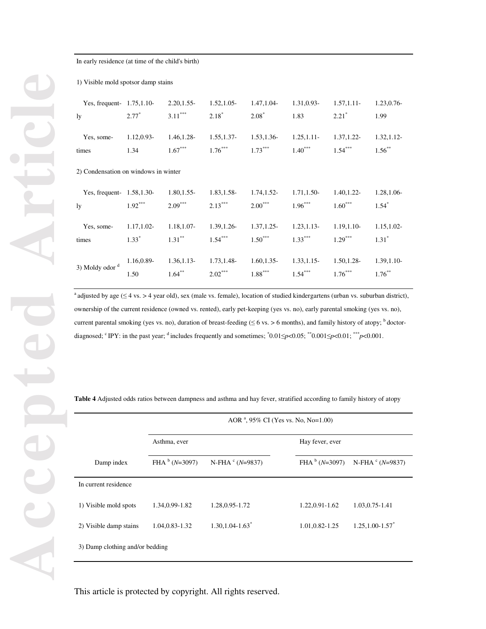| 1) Visible mold spotsor damp stains  |            |                |                |             |            |             |               |  |  |  |
|--------------------------------------|------------|----------------|----------------|-------------|------------|-------------|---------------|--|--|--|
| Yes, frequent- $1.75,1.10$ -         | $2.77^*$   | 2.20, 1.55     | 1.52, 1.05     | 1.47, 1.04- | 1.31,0.93- | 1.57, 1.11  | 1.23, 0.76    |  |  |  |
| ly                                   |            | $3.11***$      | $2.18*$        | $2.08*$     | 1.83       | $2.21^*$    | 1.99          |  |  |  |
| Yes, some-                           | 1.12,0.93- | 1.46, 1.28-    | $1.55, 1.37$ - | 1.53, 1.36- | 1.25, 1.11 | 1.37, 1.22- | 1.32, 1.12    |  |  |  |
| times                                | 1.34       | $1.67***$      | $1.76***$      | $1.73***$   | $1.40***$  | $1.54***$   | $1.56***$     |  |  |  |
| 2) Condensation on windows in winter |            |                |                |             |            |             |               |  |  |  |
| Yes, frequent- $1.58, 1.30$ -        | $1.92***$  | $1.80, 1.55$ - | 1.83, 1.58     | 1.74, 1.52- | 1.71,1.50- | 1.40, 1.22  | 1.28, 1.06-   |  |  |  |
| ly                                   |            | $2.09***$      | $2.13***$      | $2.00***$   | $1.96***$  | $1.60***$   | $1.54*$       |  |  |  |
| Yes, some-                           | 1.17,1.02- | 1.18,1.07-     | 1.39, 1.26     | 1.37, 1.25  | 1.23, 1.13 | 1.19, 1.10- | 1.15, 1.02-   |  |  |  |
| times                                | $1.33*$    | $1.31***$      | $1.54***$      | $1.50***$   | $1.33***$  | $1.29***$   | $1.31^*$      |  |  |  |
| 3) Moldy odor <sup>d</sup>           | 1.16,0.89- | 1.36, 1.13     | 1.73, 1.48-    | 1.60, 1.35  | 1.33, 1.15 | 1.50, 1.28- | $1.39, 1.10-$ |  |  |  |
|                                      | 1.50       | $1.64***$      | $2.02***$      | $1.88***$   | $1.54***$  | $1.76***$   | $1.76***$     |  |  |  |

In early residence (at time of the child's birth)

<sup>a</sup> adjusted by age ( $\leq$  4 vs. > 4 year old), sex (male vs. female), location of studied kindergartens (urban vs. suburban district), ownership of the current residence (owned vs. rented), early pet-keeping (yes vs. no), early parental smoking (yes vs. no), current parental smoking (yes vs. no), duration of breast-feeding  $(≤ 6$  vs. > 6 months), and family history of atopy;  $<sup>b</sup>$  doctor-</sup> diagnosed; <sup>c</sup> IPY: in the past year; <sup>d</sup> includes frequently and sometimes;  $\degree 0.01 \le p < 0.05$ ;  $\degree$  0.001≤ $p < 0.01$ ;  $\degree$   $\degree$  p<0.001.

**Table 4** Adjusted odds ratios between dampness and asthma and hay fever, stratified according to family history of atopy

|                                 | AOR <sup>a</sup> , 95% CI (Yes vs. No, No=1.00) |                                  |                   |                                  |  |  |  |  |
|---------------------------------|-------------------------------------------------|----------------------------------|-------------------|----------------------------------|--|--|--|--|
|                                 | Asthma, ever                                    |                                  | Hay fever, ever   |                                  |  |  |  |  |
| Damp index                      | FHA $b$ (N=3097)                                | N-FHA $\text{C}$ (N=9837)        | FHA $b$ (N=3097)  | N-FHA $\textdegree$ (N=9837)     |  |  |  |  |
| In current residence            |                                                 |                                  |                   |                                  |  |  |  |  |
| 1) Visible mold spots           | 1.34,0.99-1.82                                  | 1.28, 0.95 - 1.72                | 1.22,0.91-1.62    | 1.03, 0.75 - 1.41                |  |  |  |  |
| 2) Visible damp stains          | 1.04, 0.83 - 1.32                               | $1.30, 1.04 - 1.63$ <sup>*</sup> | 1.01, 0.82 - 1.25 | $1.25, 1.00 - 1.57$ <sup>*</sup> |  |  |  |  |
| 3) Damp clothing and/or bedding |                                                 |                                  |                   |                                  |  |  |  |  |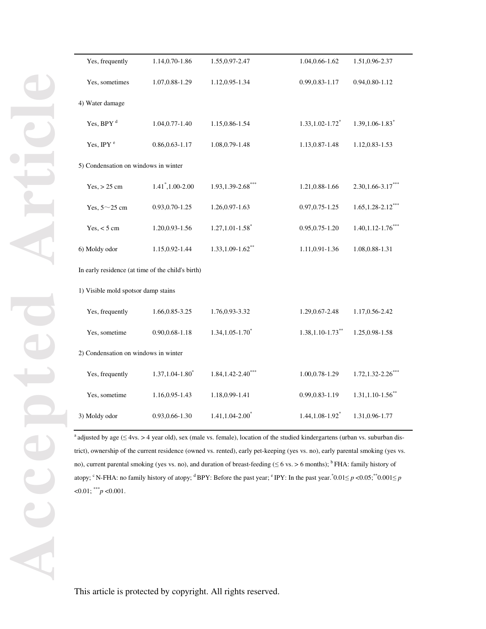| Yes, frequently                                   | 1.14,0.70-1.86                   | 1.55, 0.97-2.47                  | 1.04, 0.66 - 1.62                | 1.51,0.96-2.37                   |  |  |  |  |  |
|---------------------------------------------------|----------------------------------|----------------------------------|----------------------------------|----------------------------------|--|--|--|--|--|
| Yes, sometimes                                    | 1.07, 0.88 - 1.29                | 1.12,0.95-1.34                   | 0.99, 0.83 - 1.17                | 0.94, 0.80 - 1.12                |  |  |  |  |  |
| 4) Water damage                                   |                                  |                                  |                                  |                                  |  |  |  |  |  |
| Yes, BPY <sup>d</sup>                             | 1.04, 0.77 - 1.40                | 1.15,0.86-1.54                   | $1.33, 1.02 - 1.72$ <sup>*</sup> | $1.39, 1.06 - 1.83$ <sup>*</sup> |  |  |  |  |  |
| Yes, IPY <sup>e</sup>                             | $0.86, 0.63 - 1.17$              | 1.08, 0.79-1.48                  | 1.13, 0.87 - 1.48                | 1.12,0.83-1.53                   |  |  |  |  |  |
| 5) Condensation on windows in winter              |                                  |                                  |                                  |                                  |  |  |  |  |  |
| Yes, > 25 cm                                      | $1.41^*$ , 1.00-2.00             | $1.93, 1.39 - 2.68$ ***          | 1.21, 0.88 - 1.66                | $2.30, 1.66 - 3.17***$           |  |  |  |  |  |
| Yes, $5 \sim 25$ cm                               | 0.93, 0.70-1.25                  | 1.26, 0.97 - 1.63                | $0.97, 0.75 - 1.25$              | $1.65$ , 1.28-2.12 <sup>**</sup> |  |  |  |  |  |
| $Yes, < 5$ cm                                     | 1.20,0.93-1.56                   | $1.27, 1.01 - 1.58$ <sup>*</sup> | 0.95, 0.75 - 1.20                | $1.40, 1.12 - 1.76$ *            |  |  |  |  |  |
| 6) Moldy odor                                     | 1.15,0.92-1.44                   | $1.33, 1.09 - 1.62$ **           | 1.11,0.91-1.36                   | 1.08, 0.88 - 1.31                |  |  |  |  |  |
| In early residence (at time of the child's birth) |                                  |                                  |                                  |                                  |  |  |  |  |  |
| 1) Visible mold spotsor damp stains               |                                  |                                  |                                  |                                  |  |  |  |  |  |
| Yes, frequently                                   | 1.66, 0.85 - 3.25                | 1.76,0.93-3.32                   | 1.29, 0.67 - 2.48                | 1.17,0.56-2.42                   |  |  |  |  |  |
| Yes, sometime                                     | $0.90, 0.68 - 1.18$              | $1.34, 1.05 - 1.70$ <sup>*</sup> | $1.38, 1.10 - 1.73$ **           | 1.25, 0.98 - 1.58                |  |  |  |  |  |
| 2) Condensation on windows in winter              |                                  |                                  |                                  |                                  |  |  |  |  |  |
| Yes, frequently                                   | $1.37, 1.04 - 1.80$ <sup>*</sup> | $1.84, 1.42 - 2.40$ ***          | 1.00,0.78-1.29                   | $1.72, 1.32 - 2.26$ <sup>*</sup> |  |  |  |  |  |
| Yes, sometime                                     | 1.16,0.95-1.43                   | 1.18,0.99-1.41                   | 0.99, 0.83 - 1.19                | $1.31, 1.10 - 1.56$ **           |  |  |  |  |  |
| 3) Moldy odor                                     | 0.93, 0.66-1.30                  | $1.41, 1.04 - 2.00^*$            | $1.44, 1.08 - 1.92$ <sup>*</sup> | 1.31,0.96-1.77                   |  |  |  |  |  |
|                                                   |                                  |                                  |                                  |                                  |  |  |  |  |  |

<sup>a</sup> adjusted by age (≤ 4vs. > 4 year old), sex (male vs. female), location of the studied kindergartens (urban vs. suburban district), ownership of the current residence (owned vs. rented), early pet-keeping (yes vs. no), early parental smoking (yes vs. no), current parental smoking (yes vs. no), and duration of breast-feeding ( $\leq 6$  vs. > 6 months); <sup>b</sup> FHA: family history of atopy; <sup>c</sup> N-FHA: no family history of atopy; <sup>d</sup> BPY: Before the past year; <sup>e</sup> IPY: In the past year.  $0.01 \le p < 0.05$ ;  $0.001 \le p < 0.05$  $< 0.01$ ; \*\*\**p*  $< 0.001$ .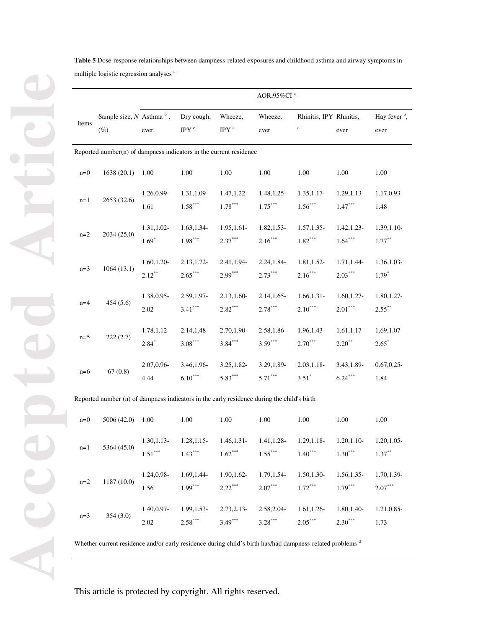| Table 5 Dose-response relationships between dampness-related exposures and childhood asthma and airway symptoms in |
|--------------------------------------------------------------------------------------------------------------------|
| multiple logistic regression analyses <sup>a</sup>                                                                 |

|       |                                                                                            |                                        |                                |                                      | AOR,95%CI <sup>a</sup>     |                                        |                                        |                                  |
|-------|--------------------------------------------------------------------------------------------|----------------------------------------|--------------------------------|--------------------------------------|----------------------------|----------------------------------------|----------------------------------------|----------------------------------|
| Items | Sample size, $N$ Asthma <sup>b</sup> ,<br>$(\%)$                                           | ever                                   | Dry cough,<br>IPY <sup>c</sup> | Wheeze,<br>IPY $^{\rm c}$            | Wheeze,<br>ever            | Rhinitis, IPY Rhinitis,<br>$\mathbf c$ | ever                                   | Hay fever <sup>b</sup> ,<br>ever |
|       | Reported number(n) of dampness indicators in the current residence                         |                                        |                                |                                      |                            |                                        |                                        |                                  |
| $n=0$ | 1638(20.1)                                                                                 | 1.00                                   | 1.00                           | 1.00                                 | 1.00                       | 1.00                                   | 1.00                                   | 1.00                             |
| $n=1$ | 2653 (32.6)                                                                                | 1.26,0.99-<br>1.61                     | 1.31,1.09-<br>$1.58***$        | 1.47, 1.22-<br>$1.78^{\ast\ast\ast}$ | 1.48, 1.25<br>$1.75***$    | $1.35, 1.17-$<br>$1.56***$             | $1.29, 1.13-$<br>$1.47^{\ast\ast\ast}$ | 1.17,0.93-<br>1.48               |
| $n=2$ | 2034 (25.0)                                                                                | 1.31, 1.02-<br>$1.69*$                 | 1.63, 1.34<br>$1.98***$        | $1.95, 1.61 -$<br>$2.37***$          | $1.82, 1.53-$<br>$2.16***$ | $1.57, 1.35$ -<br>$1.82***$            | $1.42, 1.23-$<br>$1.64***$             | 1.39, 1.10-<br>$1.77***$         |
| $n=3$ | 1064(13.1)                                                                                 | 1.60, 1.20<br>$2.12***$                | 2.13, 1.72<br>$2.65***$        | 2.41,1.94-<br>$2.99***$              | 2.24, 1.84-<br>$2.73***$   | 1.81, 1.52-<br>$2.16***$               | 1.71,1.44-<br>$2.03***$                | $1.36, 1.03-$<br>$1.79*$         |
| $n=4$ | 454 (5.6)                                                                                  | 1.38,0.95-<br>2.02                     | 2.59, 1.97-<br>$3.41***$       | $2.13, 1.60 -$<br>$2.82***$          | 2.14, 1.65<br>$2.78***$    | 1.66, 1.31<br>$2.10***$                | 1.60, 1.27<br>$2.01***$                | 1.80, 1.27-<br>$2.55***$         |
| $n=5$ | 222(2.7)                                                                                   | 1.78, 1.12-<br>$2.84*$                 | $2.14, 1.48 -$<br>$3.08***$    | 2.70,1.90-<br>$3.84***$              | 2.58,1.86-<br>$3.59***$    | 1.96, 1.43-<br>$2.70***$               | $1.61, 1.17$ -<br>$2.20^{**}$          | 1.69, 1.07-<br>$2.65*$           |
| $n=6$ | 67(0.8)                                                                                    | 2.07,0.96-<br>4.44                     | 3.46,1.96-<br>$6.10***$        | $3.25, 1.82 -$<br>$5.83***$          | 3.29, 1.89-<br>$5.71***$   | $2.03, 1.18 -$<br>$3.51*$              | 3.43,1.89-<br>$6.24***$                | $0.67, 0.25$ -<br>1.84           |
|       | Reported number (n) of dampness indicators in the early residence during the child's birth |                                        |                                |                                      |                            |                                        |                                        |                                  |
| $n=0$ | 5006 (42.0)                                                                                | 1.00                                   | 1.00                           | 1.00                                 | 1.00                       | 1.00                                   | 1.00                                   | 1.00                             |
| $n=1$ | 5364 (45.0)                                                                                | $1.30, 1.13-$<br>$1.51^{\ast\ast\ast}$ | 1.28, 1.15<br>$1.43***$        | 1.46, 1.31<br>$1.62^{\ast\ast\ast}$  | 1.41, 1.28-<br>$1.55***$   | 1.29, 1.18-<br>$1.40***$               | $1.20, 1.10-$<br>$1.30***$             | 1.20, 1.05-<br>$1.37***$         |
| $n=2$ | 1187 (10.0)                                                                                | 1.24,0.98-<br>1.56                     | 1.69, 1.44-<br>$1.99***$       | 1.90, 1.62-<br>$2.22***$             | 1.79, 1.54-<br>$2.07***$   | 1.50, 1.30-<br>$1.72***$               | 1.56, 1.35-<br>$1.79***$               | 1.70,1.39-<br>$2.07***$          |
| $n=3$ | 354(3.0)                                                                                   | 1.40,0.97-<br>2.02                     | 1.99, 1.53-<br>$2.58***$       | $2.73, 2.13 -$<br>$3.49***$          | 2.58, 2.04-<br>$3.28***$   | 1.61, 1.26<br>$2.05***$                | 1.80, 1.40-<br>$2.30***$               | $1.21, 0.85$ -<br>1.73           |

Whether current residence and/or early residence during child's birth has/had dampness-related problems <sup>d</sup>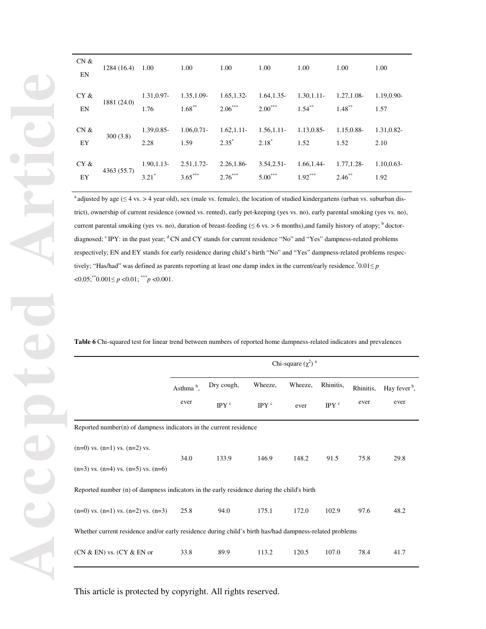| CN &<br>EN | $1284(16.4)$ 1.00 |                | 1.00           | 1.00        | 1.00       | 1.00        | 1.00        | 1.00           |
|------------|-------------------|----------------|----------------|-------------|------------|-------------|-------------|----------------|
| CY &       | 1881 (24.0)       | 1.31,0.97-     | 1.35, 1.09-    | 1.65, 1.32- | 1.64, 1.35 | 1.30, 1.11  | 1.27, 1.08- | 1.19,0.90-     |
| EN         |                   | 1.76           | $1.68***$      | $2.06***$   | $2.00***$  | $1.54***$   | $1.48***$   | 1.57           |
| CN &       | 300(3.8)          | 1.39,0.85-     | $1.06, 0.71 -$ | 1.62, 1.11  | 1.56, 1.11 | 1.13,0.85-  | 1.15,0.88-  | 1.31,0.82-     |
| EY         |                   | 2.28           | 1.59           | $2.35^*$    | $2.18*$    | 1.52        | 1.52        | 2.10           |
| CY &       | 4363 (55.7)       | $1.90, 1.13 -$ | 2.51, 1.72     | 2.26,1.86-  | 3.54, 2.51 | 1.66, 1.44- | 1.77, 1.28- | $1.10, 0.63 -$ |
| EY         |                   | $3.21*$        | $3.65***$      | $2.76***$   | $5.00***$  | $1.92***$   | $2.46**$    | 1.92           |

 $^a$  adjusted by age ( $\leq$  4 vs. > 4 year old), sex (male vs. female), the location of studied kindergartens (urban vs. suburban district), ownership of current residence (owned vs. rented), early pet-keeping (yes vs. no), early parental smoking (yes vs. no), current parental smoking (yes vs. no), duration of breast-feeding ( $\leq 6$  vs. > 6 months), and family history of atopy;  $<sup>b</sup>$  doctor-</sup> diagnosed; <sup>c</sup> IPY: in the past year; <sup>d</sup> CN and CY stands for current residence "No" and "Yes" dampness-related problems respectively; EN and EY stands for early residence during child's birth "No" and "Yes" dampness-related problems respectively; "Has/had" was defined as parents reporting at least one damp index in the current/early residence.  $0.01 \le p$  $< 0.05$ ; \*\* $0.001 \le p < 0.01$ ; \*\*\* $p < 0.001$ .

**Table 6** Chi-squared test for linear trend between numbers of reported home dampness-related indicators and prevalences

|                                                                                                         | Chi-square $(\chi^2)^a$ |                  |                  |       |               |           |                                       |  |  |
|---------------------------------------------------------------------------------------------------------|-------------------------|------------------|------------------|-------|---------------|-----------|---------------------------------------|--|--|
|                                                                                                         | Asthma <sup>b</sup> ,   | Dry cough,       | Wheeze,          |       | Rhinitis,     | Rhinitis, | Hay fever <sup><math>b</math></sup> , |  |  |
|                                                                                                         | ever                    | IPY <sup>c</sup> | IPY <sup>c</sup> | ever  | IPY $\degree$ | ever      | ever                                  |  |  |
| Reported number $(n)$ of dampness indicators in the current residence                                   |                         |                  |                  |       |               |           |                                       |  |  |
| $(n=0)$ vs. $(n=1)$ vs. $(n=2)$ vs.                                                                     | 34.0                    | 133.9            | 146.9            | 148.2 | 91.5          | 75.8      | 29.8                                  |  |  |
| $(n=3)$ vs. $(n=4)$ vs. $(n=5)$ vs. $(n=6)$                                                             |                         |                  |                  |       |               |           |                                       |  |  |
| Reported number (n) of dampness indicators in the early residence during the child's birth              |                         |                  |                  |       |               |           |                                       |  |  |
| $(n=0)$ vs. $(n=1)$ vs. $(n=2)$ vs. $(n=3)$                                                             | 25.8                    | 94.0             | 175.1            | 172.0 | 102.9         | 97.6      | 48.2                                  |  |  |
| Whether current residence and/or early residence during child's birth has/had dampness-related problems |                         |                  |                  |       |               |           |                                       |  |  |
| $(CN & EN)$ vs. $(CY & EN$ or                                                                           | 33.8                    | 89.9             | 113.2            | 120.5 | 107.0         | 78.4      | 41.7                                  |  |  |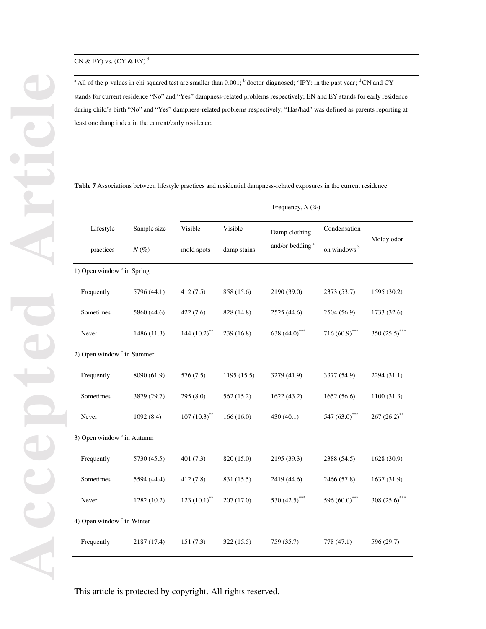<sup>a</sup> All of the p-values in chi-squared test are smaller than  $0.001$ ;  $b$  doctor-diagnosed; <sup>c</sup> IPY: in the past year; <sup>d</sup> CN and CY stands for current residence "No" and "Yes" dampness-related problems respectively; EN and EY stands for early residence during child's birth "No" and "Yes" dampness-related problems respectively; "Has/had" was defined as parents reporting at least one damp index in the current/early residence.

| <b>Table 7</b> Associations between lifestyle practices and residential dampness-related exposures in the current residence |  |
|-----------------------------------------------------------------------------------------------------------------------------|--|
|-----------------------------------------------------------------------------------------------------------------------------|--|

|                                       |             | Frequency, $N(\%)$         |             |                                                        |                  |                  |  |
|---------------------------------------|-------------|----------------------------|-------------|--------------------------------------------------------|------------------|------------------|--|
| Lifestyle                             | Sample size | Visible                    | Visible     | Damp clothing                                          | Condensation     | Moldy odor       |  |
| practices                             | $N(\%)$     | mold spots                 | damp stains | and/or bedding <sup>a</sup><br>on windows <sup>b</sup> |                  |                  |  |
| 1) Open window c in Spring            |             |                            |             |                                                        |                  |                  |  |
| Frequently                            | 5796 (44.1) | 412(7.5)                   | 858 (15.6)  | 2190 (39.0)                                            | 2373 (53.7)      | 1595 (30.2)      |  |
| Sometimes                             | 5860 (44.6) | 422(7.6)                   | 828 (14.8)  | 2525 (44.6)                                            | 2504 (56.9)      | 1733 (32.6)      |  |
| Never                                 | 1486 (11.3) | 144 $(10.2)$ <sup>**</sup> | 239 (16.8)  | 638 (44.0) <sup>***</sup>                              | $716(60.9)$ ***  | 350 $(25.5)$ *** |  |
| 2) Open window <sup>c</sup> in Summer |             |                            |             |                                                        |                  |                  |  |
| Frequently                            | 8090 (61.9) | 576 (7.5)                  | 1195 (15.5) | 3279 (41.9)                                            | 3377 (54.9)      | 2294 (31.1)      |  |
| Sometimes                             | 3879 (29.7) | 295 (8.0)                  | 562 (15.2)  | 1622 (43.2)                                            | 1652 (56.6)      | 1100 (31.3)      |  |
| Never                                 | 1092(8.4)   | $107(10.3)$ <sup>**</sup>  | 166(16.0)   | 430(40.1)                                              | 547 (63.0)***    | $267(26.2)$ **   |  |
| 3) Open window <sup>c</sup> in Autumn |             |                            |             |                                                        |                  |                  |  |
| Frequently                            | 5730 (45.5) | 401(7.3)                   | 820 (15.0)  | 2195 (39.3)                                            | 2388 (54.5)      | 1628 (30.9)      |  |
| Sometimes                             | 5594 (44.4) | 412(7.8)                   | 831 (15.5)  | 2419 (44.6)                                            | 2466 (57.8)      | 1637 (31.9)      |  |
| Never                                 | 1282 (10.2) | 123 $(10.1)$ <sup>**</sup> | 207(17.0)   | 530 $(42.5)$ ***                                       | 596 $(60.0)$ *** | 308 $(25.6)$ *** |  |
| 4) Open window <sup>c</sup> in Winter |             |                            |             |                                                        |                  |                  |  |
| Frequently                            | 2187 (17.4) | 151(7.3)                   | 322(15.5)   | 759 (35.7)                                             | 778 (47.1)       | 596 (29.7)       |  |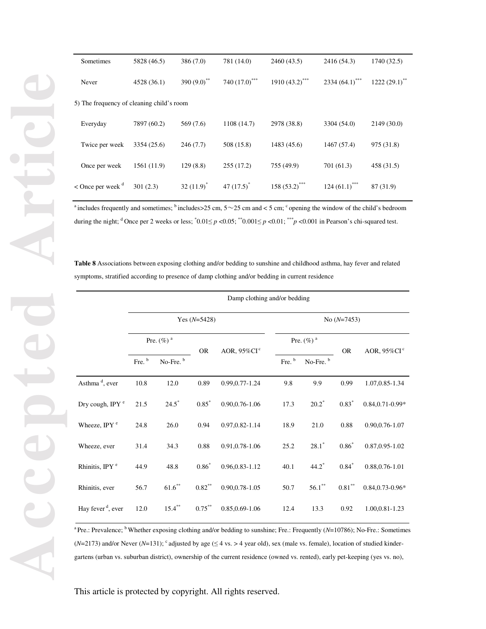| Sometimes                                 | 5828 (46.5) | 386 (7.0)                 | 781 (14.0)                  | 2460 (43.5)                  | 2416 (54.3)       | 1740 (32.5)   |
|-------------------------------------------|-------------|---------------------------|-----------------------------|------------------------------|-------------------|---------------|
| Never                                     | 4528 (36.1) | 390 $(9.0)$ <sup>**</sup> | 740 $(17.0)$ <sup>***</sup> | 1910 $(43.2)$ <sup>***</sup> | 2334 $(64.1)$ *** | 1222 (29.1)** |
| 5) The frequency of cleaning child's room |             |                           |                             |                              |                   |               |
| Everyday                                  | 7897 (60.2) | 569 (7.6)                 | 1108 (14.7)                 | 2978 (38.8)                  | 3304 (54.0)       | 2149 (30.0)   |
| Twice per week                            | 3354 (25.6) | 246(7.7)                  | 508 (15.8)                  | 1483 (45.6)                  | 1467 (57.4)       | 975 (31.8)    |
| Once per week                             | 1561 (11.9) | 129(8.8)                  | 255(17.2)                   | 755 (49.9)                   | 701 (61.3)        | 458 (31.5)    |
| $\leq$ Once per week $\alpha$             | 301(2.3)    | $32(11.9)^*$              | 47 $(17.5)^*$               | $158(53.2)$ ***              | $124(61.1)$ ***   | 87 (31.9)     |

<sup>a</sup> includes frequently and sometimes;  $\frac{b}{n}$  includes > 25 cm,  $5 \sim 25$  cm and < 5 cm;  $\frac{c}{n}$  opening the window of the child's bedroom during the night; <sup>d</sup> Once per 2 weeks or less;  $\binom{0.01 \leq p < 0.05}$ ;  $\binom{0.01 \leq p < 0.01}$ ;  $\binom{0.011 \leq p < 0.001}$  in Pearson's chi-squared test.

**Table 8** Associations between exposing clothing and/or bedding to sunshine and childhood asthma, hay fever and related symptoms, stratified according to presence of damp clothing and/or bedding in current residence

|                               | Damp clothing and/or bedding |                      |           |                             |                          |                      |           |                             |  |
|-------------------------------|------------------------------|----------------------|-----------|-----------------------------|--------------------------|----------------------|-----------|-----------------------------|--|
|                               | Yes $(N=5428)$               |                      |           |                             | No $(N=7453)$            |                      |           |                             |  |
|                               | Pre. $(\%)$ <sup>a</sup>     |                      | <b>OR</b> | AOR, $95\%$ CI <sup>c</sup> | Pre. $(\%)$ <sup>a</sup> |                      | <b>OR</b> | AOR, $95\%$ CI <sup>c</sup> |  |
|                               | Fre. b                       | No-Fre. <sup>b</sup> |           |                             | Fre. b                   | No-Fre. <sup>b</sup> |           |                             |  |
| Asthma <sup>d</sup> , ever    | 10.8                         | 12.0                 | 0.89      | 0.99, 0.77 - 1.24           | 9.8                      | 9.9                  | 0.99      | 1.07, 0.85 - 1.34           |  |
| Dry cough, IPY <sup>e</sup>   | 21.5                         | $24.5*$              | $0.85*$   | $0.90, 0.76 - 1.06$         | 17.3                     | $20.2^*$             | $0.83*$   | $0.84, 0.71 - 0.99*$        |  |
| Wheeze, IPY <sup>e</sup>      | 24.8                         | 26.0                 | 0.94      | 0.97, 0.82-1.14             | 18.9                     | 21.0                 | 0.88      | $0.90, 0.76 - 1.07$         |  |
| Wheeze, ever                  | 31.4                         | 34.3                 | 0.88      | 0.91, 0.78 - 1.06           | 25.2                     | $28.1*$              | $0.86*$   | 0.87, 0.95 - 1.02           |  |
| Rhinitis, IPY <sup>e</sup>    | 44.9                         | 48.8                 | $0.86*$   | 0.96, 0.83 - 1.12           | 40.1                     | $44.2^*$             | $0.84*$   | 0.88, 0.76-1.01             |  |
| Rhinitis, ever                | 56.7                         | $61.6***$            | $0.82***$ | $0.90, 0.78 - 1.05$         | 50.7                     | $56.1***$            | $0.81***$ | $0.84, 0.73 - 0.96*$        |  |
| Hay fever <sup>d</sup> , ever | 12.0                         | $15.4***$            | $0.75***$ | $0.85, 0.69 - 1.06$         | 12.4                     | 13.3                 | 0.92      | 1.00, 0.81 - 1.23           |  |

<sup>a</sup> Pre.: Prevalence; <sup>b</sup> Whether exposing clothing and/or bedding to sunshine; Fre.: Frequently (*N*=10786); No-Fre.: Sometimes  $(N=2173)$  and/or Never ( $N=131$ ); <sup>c</sup> adjusted by age ( $\leq 4$  vs. > 4 year old), sex (male vs. female), location of studied kindergartens (urban vs. suburban district), ownership of the current residence (owned vs. rented), early pet-keeping (yes vs. no),